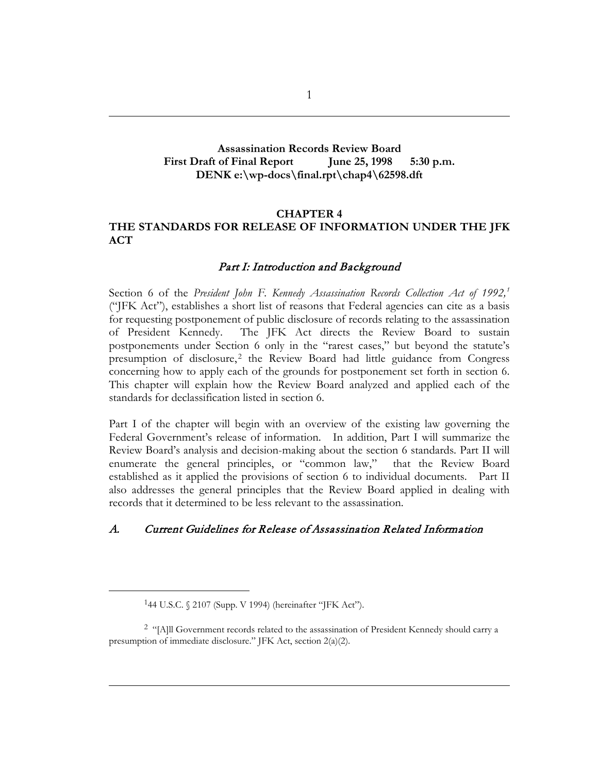#### **Assassination Records Review Board** First Draft of Final Report June 25, 1998 5:30 p.m. **DENK e:\wp-docs\final.rpt\chap4\62598.dft**

#### **CHAPTER 4 THE STANDARDS FOR RELEASE OF INFORMATION UNDER THE JFK ACT**

#### Part I: Introduction and Background

Section 6 of the *President John F. Kennedy Assassination Records Collection Act of 1992,[1](#page-0-0)* ("JFK Act"), establishes a short list of reasons that Federal agencies can cite as a basis for requesting postponement of public disclosure of records relating to the assassination of President Kennedy. The JFK Act directs the Review Board to sustain postponements under Section 6 only in the "rarest cases," but beyond the statute's presumption of disclosure,<sup>[2](#page-0-1)</sup> the Review Board had little guidance from Congress concerning how to apply each of the grounds for postponement set forth in section 6. This chapter will explain how the Review Board analyzed and applied each of the standards for declassification listed in section 6.

Part I of the chapter will begin with an overview of the existing law governing the Federal Government's release of information. In addition, Part I will summarize the Review Board's analysis and decision-making about the section 6 standards. Part II will enumerate the general principles, or "common law," that the Review Board established as it applied the provisions of section 6 to individual documents. Part II also addresses the general principles that the Review Board applied in dealing with records that it determined to be less relevant to the assassination.

#### A. Current Guidelines for Release of Assassination Related Information

<sup>144</sup> U.S.C. § 2107 (Supp. V 1994) (hereinafter "JFK Act").

<span id="page-0-1"></span><span id="page-0-0"></span><sup>2</sup> "[A]ll Government records related to the assassination of President Kennedy should carry a presumption of immediate disclosure." JFK Act, section 2(a)(2).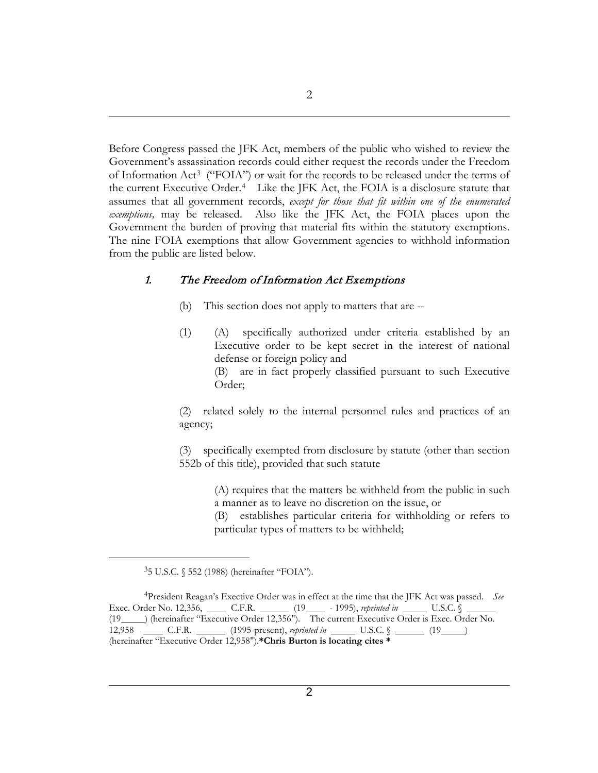Before Congress passed the JFK Act, members of the public who wished to review the Government's assassination records could either request the records under the Freedom of Information Act[3](#page-1-0) ("FOIA") or wait for the records to be released under the terms of the current Executive Order.[4](#page-1-1) Like the JFK Act, the FOIA is a disclosure statute that assumes that all government records, *except for those that fit within one of the enumerated exemptions,* may be released. Also like the JFK Act, the FOIA places upon the Government the burden of proving that material fits within the statutory exemptions. The nine FOIA exemptions that allow Government agencies to withhold information from the public are listed below.

#### 1. The Freedom of Information Act Exemptions

- (b) This section does not apply to matters that are --
- (1) (A) specifically authorized under criteria established by an Executive order to be kept secret in the interest of national defense or foreign policy and (B) are in fact properly classified pursuant to such Executive Order;

(2) related solely to the internal personnel rules and practices of an agency;

(3) specifically exempted from disclosure by statute (other than section 552b of this title), provided that such statute

> (A) requires that the matters be withheld from the public in such a manner as to leave no discretion on the issue, or

> (B) establishes particular criteria for withholding or refers to particular types of matters to be withheld;

<sup>35</sup> U.S.C. § 552 (1988) (hereinafter "FOIA").

<span id="page-1-1"></span><span id="page-1-0"></span><sup>4</sup>President Reagan's Exective Order was in effect at the time that the JFK Act was passed. *See* Exec. Order No. 12,356, \_\_\_\_\_ C.F.R. \_\_\_\_\_\_ (19 \_\_\_\_ - 1995), *reprinted in* \_\_\_\_\_ U.S.C. § (19 ) (hereinafter "Executive Order 12,356"). The current Executive Order is Exec. Order No. 12,958 C.F.R. (1995-present), *reprinted in* U.S.C. § (19 ) (hereinafter "Executive Order 12,958").**\*Chris Burton is locating cites \***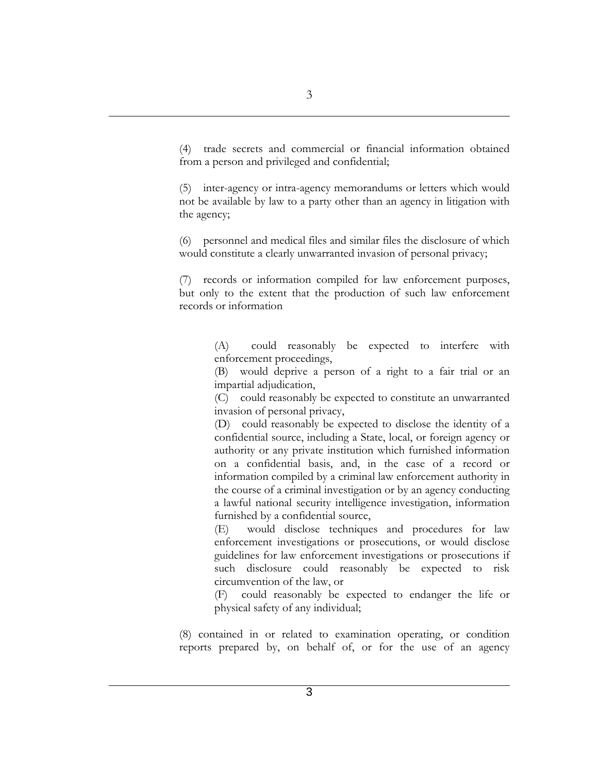(4) trade secrets and commercial or financial information obtained from a person and privileged and confidential;

(5) inter-agency or intra-agency memorandums or letters which would not be available by law to a party other than an agency in litigation with the agency;

(6) personnel and medical files and similar files the disclosure of which would constitute a clearly unwarranted invasion of personal privacy;

(7) records or information compiled for law enforcement purposes, but only to the extent that the production of such law enforcement records or information

> (A) could reasonably be expected to interfere with enforcement proceedings,

> (B) would deprive a person of a right to a fair trial or an impartial adjudication,

> (C) could reasonably be expected to constitute an unwarranted invasion of personal privacy,

> (D) could reasonably be expected to disclose the identity of a confidential source, including a State, local, or foreign agency or authority or any private institution which furnished information on a confidential basis, and, in the case of a record or information compiled by a criminal law enforcement authority in the course of a criminal investigation or by an agency conducting a lawful national security intelligence investigation, information furnished by a confidential source,

> (E) would disclose techniques and procedures for law enforcement investigations or prosecutions, or would disclose guidelines for law enforcement investigations or prosecutions if such disclosure could reasonably be expected to risk circumvention of the law, or

> (F) could reasonably be expected to endanger the life or physical safety of any individual;

(8) contained in or related to examination operating, or condition reports prepared by, on behalf of, or for the use of an agency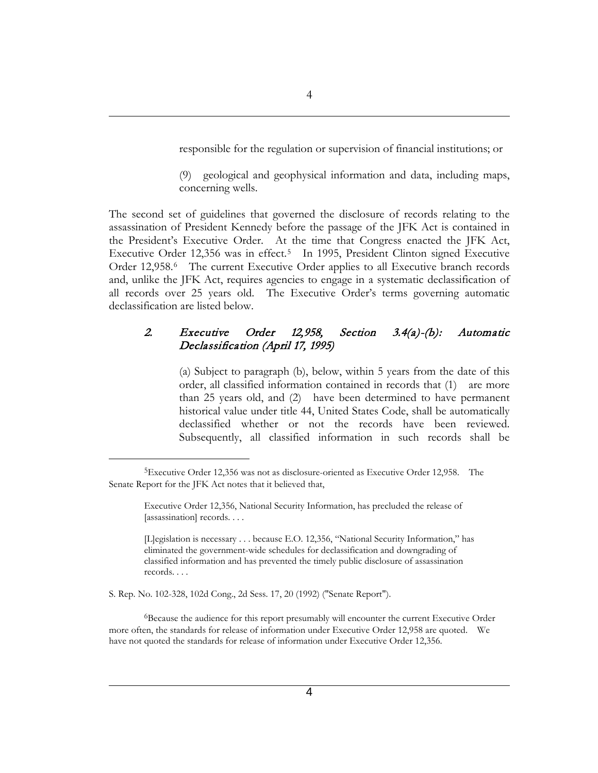responsible for the regulation or supervision of financial institutions; or

(9) geological and geophysical information and data, including maps, concerning wells.

The second set of guidelines that governed the disclosure of records relating to the assassination of President Kennedy before the passage of the JFK Act is contained in the President's Executive Order. At the time that Congress enacted the JFK Act, Executive Order 12,356 was in effect.<sup>5</sup> In 1995, President Clinton signed Executive Order 12,958.<sup>6</sup> The current Executive Order applies to all Executive branch records and, unlike the JFK Act, requires agencies to engage in a systematic declassification of all records over 25 years old. The Executive Order's terms governing automatic declassification are listed below.

#### 2. Executive Order 12,958, Section 3.4(a)-(b): Automatic Declassification (April 17, 1995)

(a) Subject to paragraph (b), below, within 5 years from the date of this order, all classified information contained in records that (1) are more than 25 years old, and (2) have been determined to have permanent historical value under title 44, United States Code, shall be automatically declassified whether or not the records have been reviewed. Subsequently, all classified information in such records shall be

S. Rep. No. 102-328, 102d Cong., 2d Sess. 17, 20 (1992) ("Senate Report").

 $\overline{a}$ 

<span id="page-3-1"></span>6Because the audience for this report presumably will encounter the current Executive Order more often, the standards for release of information under Executive Order 12,958 are quoted. We have not quoted the standards for release of information under Executive Order 12,356.

<span id="page-3-0"></span><sup>5</sup>Executive Order 12,356 was not as disclosure-oriented as Executive Order 12,958. The Senate Report for the JFK Act notes that it believed that,

Executive Order 12,356, National Security Information, has precluded the release of [assassination] records....

<sup>[</sup>L]egislation is necessary . . . because E.O. 12,356, "National Security Information," has eliminated the government-wide schedules for declassification and downgrading of classified information and has prevented the timely public disclosure of assassination records. . . .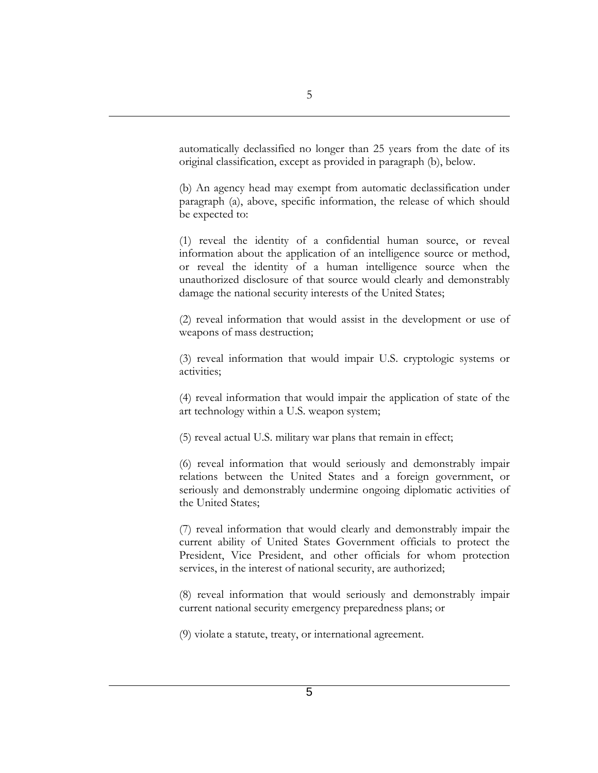automatically declassified no longer than 25 years from the date of its original classification, except as provided in paragraph (b), below.

(b) An agency head may exempt from automatic declassification under paragraph (a), above, specific information, the release of which should be expected to:

(1) reveal the identity of a confidential human source, or reveal information about the application of an intelligence source or method, or reveal the identity of a human intelligence source when the unauthorized disclosure of that source would clearly and demonstrably damage the national security interests of the United States;

(2) reveal information that would assist in the development or use of weapons of mass destruction;

(3) reveal information that would impair U.S. cryptologic systems or activities;

(4) reveal information that would impair the application of state of the art technology within a U.S. weapon system;

(5) reveal actual U.S. military war plans that remain in effect;

(6) reveal information that would seriously and demonstrably impair relations between the United States and a foreign government, or seriously and demonstrably undermine ongoing diplomatic activities of the United States;

(7) reveal information that would clearly and demonstrably impair the current ability of United States Government officials to protect the President, Vice President, and other officials for whom protection services, in the interest of national security, are authorized;

(8) reveal information that would seriously and demonstrably impair current national security emergency preparedness plans; or

(9) violate a statute, treaty, or international agreement.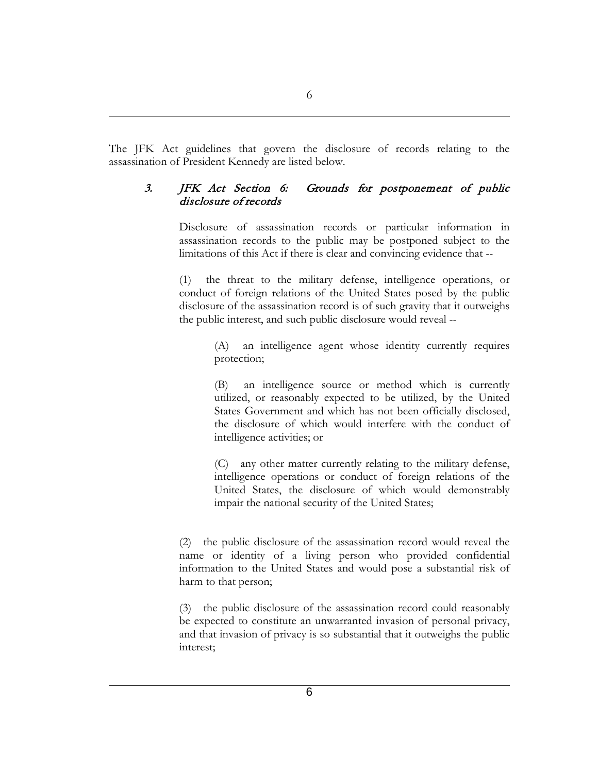The JFK Act guidelines that govern the disclosure of records relating to the assassination of President Kennedy are listed below.

### 3. JFK Act Section 6: Grounds for postponement of public disclosure of records

Disclosure of assassination records or particular information in assassination records to the public may be postponed subject to the limitations of this Act if there is clear and convincing evidence that --

(1) the threat to the military defense, intelligence operations, or conduct of foreign relations of the United States posed by the public disclosure of the assassination record is of such gravity that it outweighs the public interest, and such public disclosure would reveal --

> (A) an intelligence agent whose identity currently requires protection;

> (B) an intelligence source or method which is currently utilized, or reasonably expected to be utilized, by the United States Government and which has not been officially disclosed, the disclosure of which would interfere with the conduct of intelligence activities; or

> (C) any other matter currently relating to the military defense, intelligence operations or conduct of foreign relations of the United States, the disclosure of which would demonstrably impair the national security of the United States;

(2) the public disclosure of the assassination record would reveal the name or identity of a living person who provided confidential information to the United States and would pose a substantial risk of harm to that person;

(3) the public disclosure of the assassination record could reasonably be expected to constitute an unwarranted invasion of personal privacy, and that invasion of privacy is so substantial that it outweighs the public interest;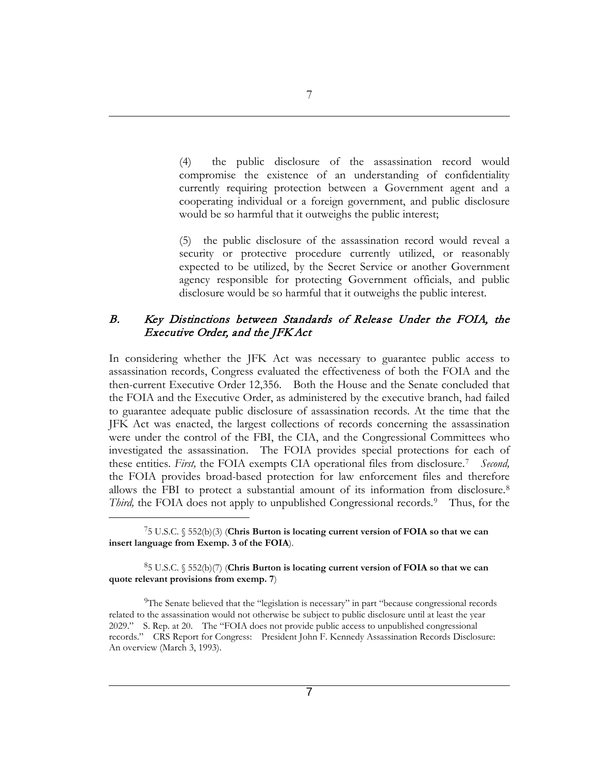(4) the public disclosure of the assassination record would compromise the existence of an understanding of confidentiality currently requiring protection between a Government agent and a cooperating individual or a foreign government, and public disclosure would be so harmful that it outweighs the public interest;

(5) the public disclosure of the assassination record would reveal a security or protective procedure currently utilized, or reasonably expected to be utilized, by the Secret Service or another Government agency responsible for protecting Government officials, and public disclosure would be so harmful that it outweighs the public interest.

#### B. Key Distinctions between Standards of Release Under the FOIA, the Executive Order, and the JFK Act

In considering whether the JFK Act was necessary to guarantee public access to assassination records, Congress evaluated the effectiveness of both the FOIA and the then-current Executive Order 12,356. Both the House and the Senate concluded that the FOIA and the Executive Order, as administered by the executive branch, had failed to guarantee adequate public disclosure of assassination records. At the time that the JFK Act was enacted, the largest collections of records concerning the assassination were under the control of the FBI, the CIA, and the Congressional Committees who investigated the assassination. The FOIA provides special protections for each of these entities. *First,* the FOIA exempts CIA operational files from disclosure.[7](#page-6-0) *Second,* the FOIA provides broad-based protection for law enforcement files and therefore allows the FBI to protect a substantial amount of its information from disclosure.[8](#page-6-1) *Third*, the FOIA does not apply to unpublished Congressional records.<sup>9</sup> Thus, for the

<span id="page-6-0"></span>75 U.S.C. § 552(b)(3) (**Chris Burton is locating current version of FOIA so that we can insert language from Exemp. 3 of the FOIA**).

 $\overline{a}$ 

<span id="page-6-1"></span>85 U.S.C. § 552(b)(7) (**Chris Burton is locating current version of FOIA so that we can quote relevant provisions from exemp. 7**)

<span id="page-6-2"></span>9The Senate believed that the "legislation is necessary" in part "because congressional records related to the assassination would not otherwise be subject to public disclosure until at least the year 2029." S. Rep. at 20. The "FOIA does not provide public access to unpublished congressional records." CRS Report for Congress: President John F. Kennedy Assassination Records Disclosure: An overview (March 3, 1993).

7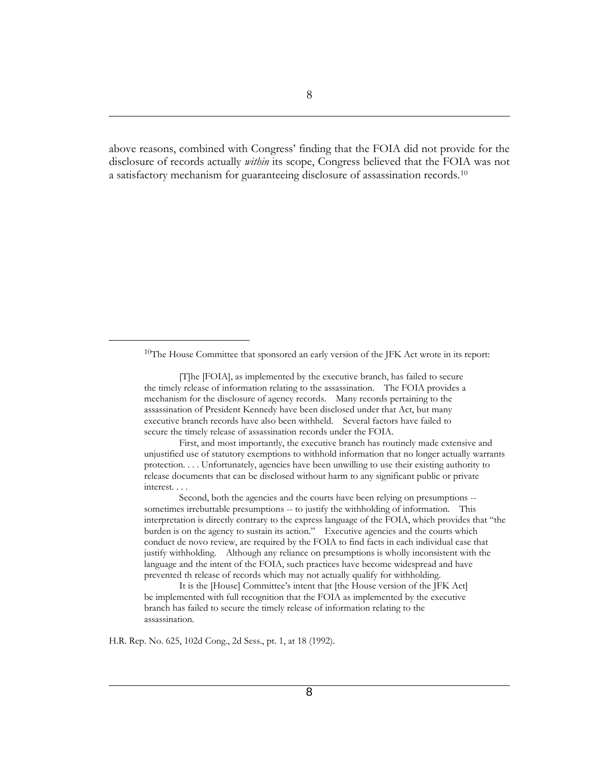above reasons, combined with Congress' finding that the FOIA did not provide for the disclosure of records actually *within* its scope, Congress believed that the FOIA was not a satisfactory mechanism for guaranteeing disclosure of assassination records.[10](#page-7-0)

H.R. Rep. No. 625, 102d Cong., 2d Sess., pt. 1, at 18 (1992).

<span id="page-7-0"></span><sup>10</sup>The House Committee that sponsored an early version of the JFK Act wrote in its report:

<sup>[</sup>T]he [FOIA], as implemented by the executive branch, has failed to secure the timely release of information relating to the assassination. The FOIA provides a mechanism for the disclosure of agency records. Many records pertaining to the assassination of President Kennedy have been disclosed under that Act, but many executive branch records have also been withheld. Several factors have failed to secure the timely release of assassination records under the FOIA.

First, and most importantly, the executive branch has routinely made extensive and unjustified use of statutory exemptions to withhold information that no longer actually warrants protection. . . . Unfortunately, agencies have been unwilling to use their existing authority to release documents that can be disclosed without harm to any significant public or private interest. . . .

Second, both the agencies and the courts have been relying on presumptions - sometimes irrebuttable presumptions -- to justify the withholding of information. This interpretation is directly contrary to the express language of the FOIA, which provides that "the burden is on the agency to sustain its action." Executive agencies and the courts which conduct de novo review, are required by the FOIA to find facts in each individual case that justify withholding. Although any reliance on presumptions is wholly inconsistent with the language and the intent of the FOIA, such practices have become widespread and have prevented th release of records which may not actually qualify for withholding.

It is the [House] Committee's intent that [the House version of the JFK Act] be implemented with full recognition that the FOIA as implemented by the executive branch has failed to secure the timely release of information relating to the assassination.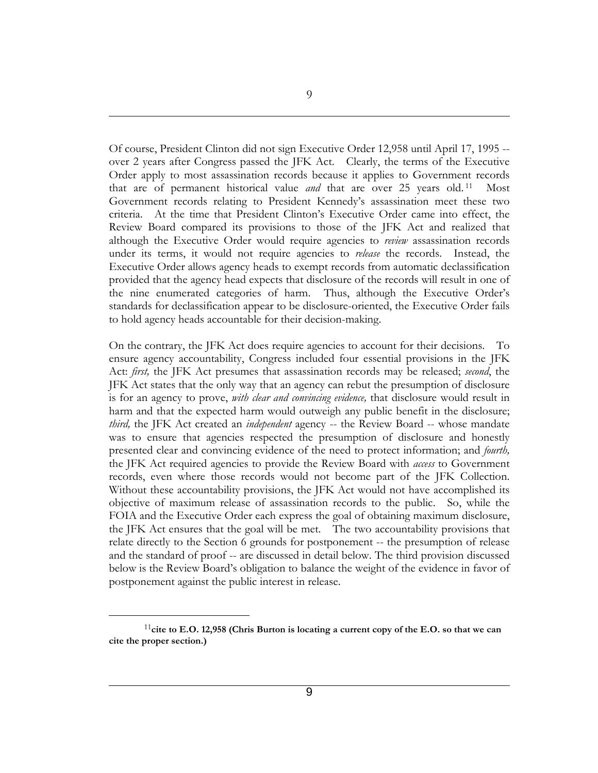Of course, President Clinton did not sign Executive Order 12,958 until April 17, 1995 - over 2 years after Congress passed the JFK Act. Clearly, the terms of the Executive Order apply to most assassination records because it applies to Government records that are of permanent historical value *and* that are over 25 years old. [11](#page-8-0) Most Government records relating to President Kennedy's assassination meet these two criteria. At the time that President Clinton's Executive Order came into effect, the Review Board compared its provisions to those of the JFK Act and realized that although the Executive Order would require agencies to *review* assassination records under its terms, it would not require agencies to *release* the records. Instead, the Executive Order allows agency heads to exempt records from automatic declassification provided that the agency head expects that disclosure of the records will result in one of the nine enumerated categories of harm. Thus, although the Executive Order's standards for declassification appear to be disclosure-oriented, the Executive Order fails to hold agency heads accountable for their decision-making.

On the contrary, the JFK Act does require agencies to account for their decisions. To ensure agency accountability, Congress included four essential provisions in the JFK Act: *first,* the JFK Act presumes that assassination records may be released; *second*, the JFK Act states that the only way that an agency can rebut the presumption of disclosure is for an agency to prove, *with clear and convincing evidence,* that disclosure would result in harm and that the expected harm would outweigh any public benefit in the disclosure; *third,* the JFK Act created an *independent* agency -- the Review Board -- whose mandate was to ensure that agencies respected the presumption of disclosure and honestly presented clear and convincing evidence of the need to protect information; and *fourth,* the JFK Act required agencies to provide the Review Board with *access* to Government records, even where those records would not become part of the JFK Collection. Without these accountability provisions, the JFK Act would not have accomplished its objective of maximum release of assassination records to the public. So, while the FOIA and the Executive Order each express the goal of obtaining maximum disclosure, the JFK Act ensures that the goal will be met. The two accountability provisions that relate directly to the Section 6 grounds for postponement -- the presumption of release and the standard of proof -- are discussed in detail below. The third provision discussed below is the Review Board's obligation to balance the weight of the evidence in favor of postponement against the public interest in release.

<span id="page-8-0"></span><sup>&</sup>lt;sup>11</sup>cite to E.O. 12,958 (Chris Burton is locating a current copy of the E.O. so that we can **cite the proper section.)**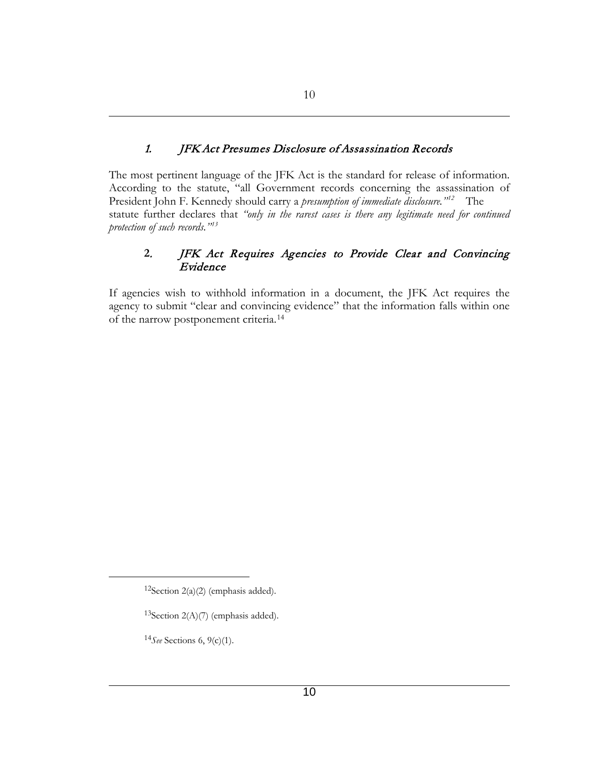## 1. JFK Act Presumes Disclosure of Assassination Records

The most pertinent language of the JFK Act is the standard for release of information. According to the statute, "all Government records concerning the assassination of President John F. Kennedy should carry a *presumption of immediate disclosure."[12](#page-9-0)* The statute further declares that *"only in the rarest cases is there any legitimate need for continued protection of such records."[13](#page-9-1)*

### **2**. JFK Act Requires Agencies to Provide Clear and Convincing Evidence

If agencies wish to withhold information in a document, the JFK Act requires the agency to submit "clear and convincing evidence" that the information falls within one of the narrow postponement criteria.[14](#page-9-2)

<span id="page-9-0"></span> $12$ Section 2(a)(2) (emphasis added).

<span id="page-9-1"></span><sup>&</sup>lt;sup>13</sup>Section  $2(A)(7)$  (emphasis added).

<span id="page-9-2"></span><sup>14</sup>*See* Sections 6, 9(c)(1).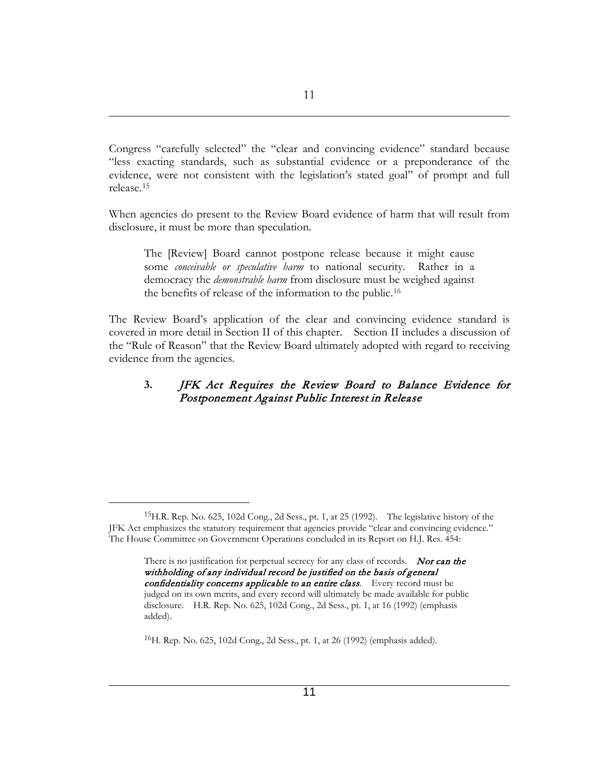Congress "carefully selected" the "clear and convincing evidence" standard because "less exacting standards, such as substantial evidence or a preponderance of the evidence, were not consistent with the legislation's stated goal" of prompt and full release.[15](#page-10-0)

When agencies do present to the Review Board evidence of harm that will result from disclosure, it must be more than speculation.

The [Review] Board cannot postpone release because it might cause some *conceivable or speculative harm* to national security. Rather in a democracy the *demonstrable harm* from disclosure must be weighed against the benefits of release of the information to the public.[16](#page-10-1) 

The Review Board's application of the clear and convincing evidence standard is covered in more detail in Section II of this chapter. Section II includes a discussion of the "Rule of Reason" that the Review Board ultimately adopted with regard to receiving evidence from the agencies.

### **3.** JFK Act Requires the Review Board to Balance Evidence for Postponement Against Public Interest in Release

<span id="page-10-0"></span><sup>15</sup>H.R. Rep. No. 625, 102d Cong., 2d Sess., pt. 1, at 25 (1992). The legislative history of the JFK Act emphasizes the statutory requirement that agencies provide "clear and convincing evidence." The House Committee on Government Operations concluded in its Report on H.J. Res. 454:

There is no justification for perpetual secrecy for any class of records. Nor can the withholding of any individual record be justified on the basis of general confidentiality concerns applicable to an entire class. Every record must be judged on its own merits, and every record will ultimately be made available for public disclosure. H.R. Rep. No. 625, 102d Cong., 2d Sess., pt. 1, at 16 (1992) (emphasis added).

<span id="page-10-1"></span><sup>16</sup>H. Rep. No. 625, 102d Cong., 2d Sess., pt. 1, at 26 (1992) (emphasis added).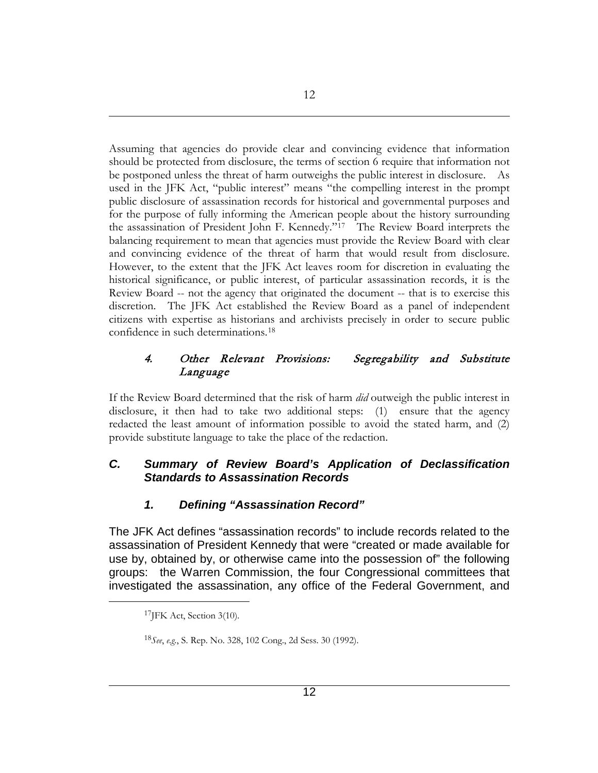Assuming that agencies do provide clear and convincing evidence that information should be protected from disclosure, the terms of section 6 require that information not be postponed unless the threat of harm outweighs the public interest in disclosure. As used in the JFK Act, "public interest" means "the compelling interest in the prompt public disclosure of assassination records for historical and governmental purposes and for the purpose of fully informing the American people about the history surrounding the assassination of President John F. Kennedy."[17](#page-11-0) The Review Board interprets the balancing requirement to mean that agencies must provide the Review Board with clear and convincing evidence of the threat of harm that would result from disclosure. However, to the extent that the JFK Act leaves room for discretion in evaluating the historical significance, or public interest, of particular assassination records, it is the Review Board -- not the agency that originated the document -- that is to exercise this discretion. The JFK Act established the Review Board as a panel of independent citizens with expertise as historians and archivists precisely in order to secure public confidence in such determinations.[18](#page-11-1)

### 4. Other Relevant Provisions: Segregability and Substitute Language

If the Review Board determined that the risk of harm *did* outweigh the public interest in disclosure, it then had to take two additional steps: (1) ensure that the agency redacted the least amount of information possible to avoid the stated harm, and (2) provide substitute language to take the place of the redaction.

## *C. Summary of Review Board's Application of Declassification Standards to Assassination Records*

# *1. Defining "Assassination Record"*

<span id="page-11-0"></span>The JFK Act defines "assassination records" to include records related to the assassination of President Kennedy that were "created or made available for use by, obtained by, or otherwise came into the possession of" the following groups: the Warren Commission, the four Congressional committees that investigated the assassination, any office of the Federal Government, and

<sup>&</sup>lt;sup>17</sup>JFK Act, Section 3(10).

<span id="page-11-1"></span><sup>18</sup>*See*, *e.g.*, S. Rep. No. 328, 102 Cong., 2d Sess. 30 (1992).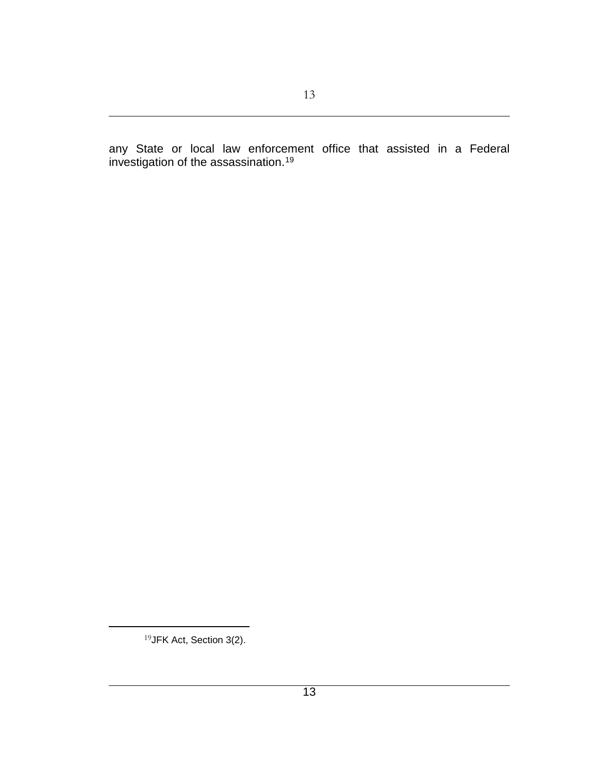any State or local law enforcement office that assisted in a Federal investigation of the assassination.<sup>[19](#page-12-0)</sup>

<sup>19</sup>JFK Act, Section 3(2).

<span id="page-12-0"></span> $\overline{a}$ 

13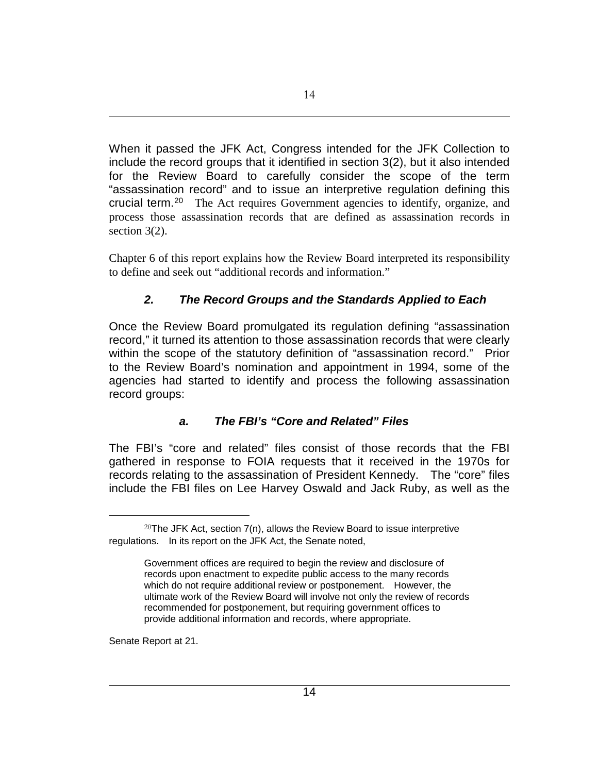When it passed the JFK Act, Congress intended for the JFK Collection to include the record groups that it identified in section 3(2), but it also intended for the Review Board to carefully consider the scope of the term "assassination record" and to issue an interpretive regulation defining this crucial term.[20](#page-13-0) The Act requires Government agencies to identify, organize, and process those assassination records that are defined as assassination records in section 3(2).

Chapter 6 of this report explains how the Review Board interpreted its responsibility to define and seek out "additional records and information."

# *2. The Record Groups and the Standards Applied to Each*

Once the Review Board promulgated its regulation defining "assassination record," it turned its attention to those assassination records that were clearly within the scope of the statutory definition of "assassination record." Prior to the Review Board's nomination and appointment in 1994, some of the agencies had started to identify and process the following assassination record groups:

## *a. The FBI's "Core and Related" Files*

The FBI's "core and related" files consist of those records that the FBI gathered in response to FOIA requests that it received in the 1970s for records relating to the assassination of President Kennedy. The "core" files include the FBI files on Lee Harvey Oswald and Jack Ruby, as well as the

Senate Report at 21.

<span id="page-13-0"></span><sup>&</sup>lt;sup>20</sup>The JFK Act, section  $7(n)$ , allows the Review Board to issue interpretive regulations. In its report on the JFK Act, the Senate noted,

Government offices are required to begin the review and disclosure of records upon enactment to expedite public access to the many records which do not require additional review or postponement. However, the ultimate work of the Review Board will involve not only the review of records recommended for postponement, but requiring government offices to provide additional information and records, where appropriate.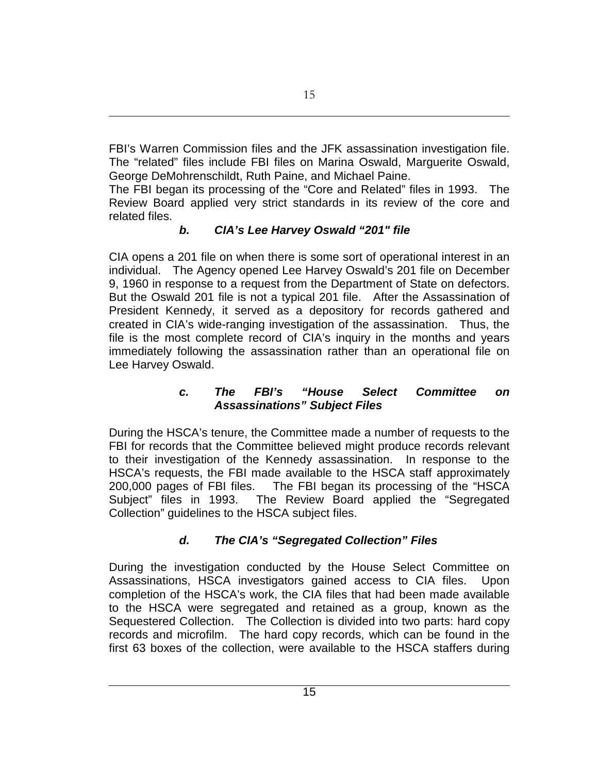FBI's Warren Commission files and the JFK assassination investigation file. The "related" files include FBI files on Marina Oswald, Marguerite Oswald, George DeMohrenschildt, Ruth Paine, and Michael Paine.

The FBI began its processing of the "Core and Related" files in 1993. The Review Board applied very strict standards in its review of the core and related files.

# *b. CIA's Lee Harvey Oswald "201" file*

CIA opens a 201 file on when there is some sort of operational interest in an individual. The Agency opened Lee Harvey Oswald's 201 file on December 9, 1960 in response to a request from the Department of State on defectors. But the Oswald 201 file is not a typical 201 file. After the Assassination of President Kennedy, it served as a depository for records gathered and created in CIA's wide-ranging investigation of the assassination. Thus, the file is the most complete record of CIA's inquiry in the months and years immediately following the assassination rather than an operational file on Lee Harvey Oswald.

## *c. The FBI's "House Select Committee on Assassinations" Subject Files*

During the HSCA's tenure, the Committee made a number of requests to the FBI for records that the Committee believed might produce records relevant to their investigation of the Kennedy assassination. In response to the HSCA's requests, the FBI made available to the HSCA staff approximately 200,000 pages of FBI files. The FBI began its processing of the "HSCA Subject" files in 1993. The Review Board applied the "Segregated Collection" guidelines to the HSCA subject files.

# *d. The CIA's "Segregated Collection" Files*

During the investigation conducted by the House Select Committee on Assassinations, HSCA investigators gained access to CIA files. Upon completion of the HSCA's work, the CIA files that had been made available to the HSCA were segregated and retained as a group, known as the Sequestered Collection. The Collection is divided into two parts: hard copy records and microfilm. The hard copy records, which can be found in the first 63 boxes of the collection, were available to the HSCA staffers during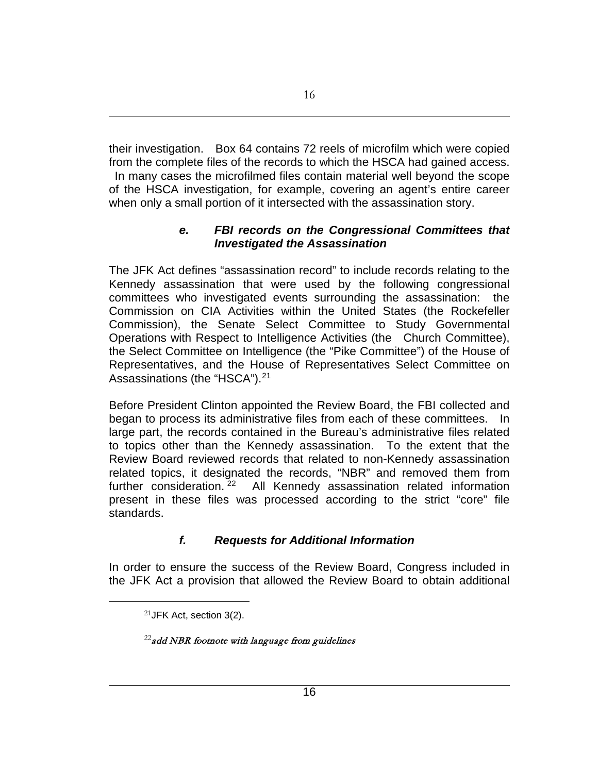their investigation. Box 64 contains 72 reels of microfilm which were copied from the complete files of the records to which the HSCA had gained access. In many cases the microfilmed files contain material well beyond the scope of the HSCA investigation, for example, covering an agent's entire career when only a small portion of it intersected with the assassination story.

### *e. FBI records on the Congressional Committees that Investigated the Assassination*

The JFK Act defines "assassination record" to include records relating to the Kennedy assassination that were used by the following congressional committees who investigated events surrounding the assassination: the Commission on CIA Activities within the United States (the Rockefeller Commission), the Senate Select Committee to Study Governmental Operations with Respect to Intelligence Activities (the Church Committee), the Select Committee on Intelligence (the "Pike Committee") of the House of Representatives, and the House of Representatives Select Committee on Assassinations (the "HSCA").<sup>[21](#page-15-0)</sup>

Before President Clinton appointed the Review Board, the FBI collected and began to process its administrative files from each of these committees. In large part, the records contained in the Bureau's administrative files related to topics other than the Kennedy assassination. To the extent that the Review Board reviewed records that related to non-Kennedy assassination related topics, it designated the records, "NBR" and removed them from further consideration. [22](#page-15-1) All Kennedy assassination related information present in these files was processed according to the strict "core" file standards.

## *f. Requests for Additional Information*

In order to ensure the success of the Review Board, Congress included in the JFK Act a provision that allowed the Review Board to obtain additional

<span id="page-15-1"></span><span id="page-15-0"></span> $\overline{a}$ 

 $^{22}$ add NBR footnote with language from guidelines

<sup>21</sup>JFK Act, section 3(2).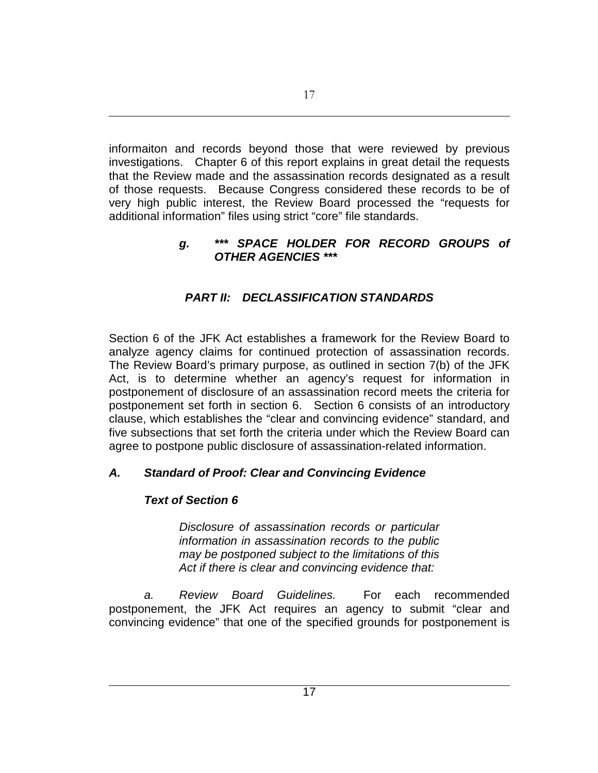informaiton and records beyond those that were reviewed by previous investigations. Chapter 6 of this report explains in great detail the requests that the Review made and the assassination records designated as a result of those requests. Because Congress considered these records to be of very high public interest, the Review Board processed the "requests for additional information" files using strict "core" file standards.

### *g. \*\*\* SPACE HOLDER FOR RECORD GROUPS of OTHER AGENCIES \*\*\**

# *PART II: DECLASSIFICATION STANDARDS*

Section 6 of the JFK Act establishes a framework for the Review Board to analyze agency claims for continued protection of assassination records. The Review Board's primary purpose, as outlined in section 7(b) of the JFK Act, is to determine whether an agency's request for information in postponement of disclosure of an assassination record meets the criteria for postponement set forth in section 6. Section 6 consists of an introductory clause, which establishes the "clear and convincing evidence" standard, and five subsections that set forth the criteria under which the Review Board can agree to postpone public disclosure of assassination-related information.

## *A. Standard of Proof: Clear and Convincing Evidence*

## *Text of Section 6*

*Disclosure of assassination records or particular information in assassination records to the public may be postponed subject to the limitations of this Act if there is clear and convincing evidence that:*

*a. Review Board Guidelines.* For each recommended postponement, the JFK Act requires an agency to submit "clear and convincing evidence" that one of the specified grounds for postponement is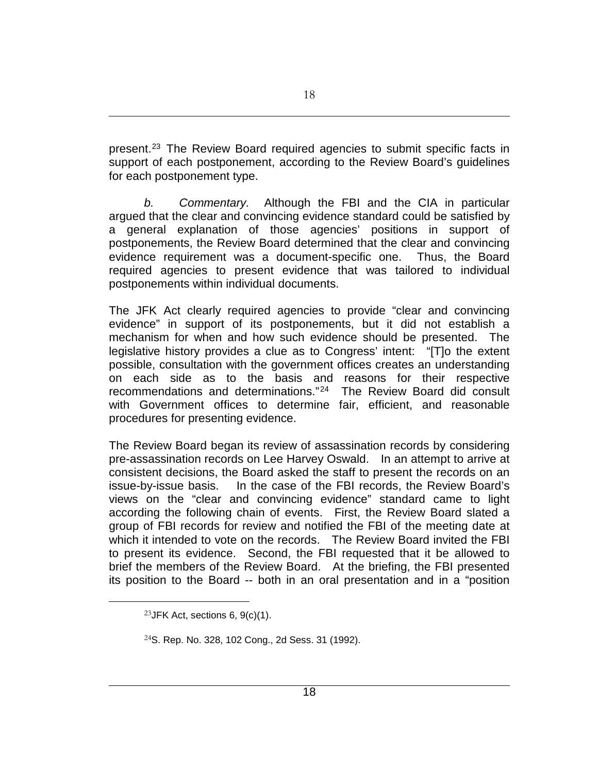present.<sup>[23](#page-17-0)</sup> The Review Board required agencies to submit specific facts in support of each postponement, according to the Review Board's guidelines for each postponement type.

*b. Commentary.* Although the FBI and the CIA in particular argued that the clear and convincing evidence standard could be satisfied by a general explanation of those agencies' positions in support of postponements, the Review Board determined that the clear and convincing evidence requirement was a document-specific one. Thus, the Board required agencies to present evidence that was tailored to individual postponements within individual documents.

The JFK Act clearly required agencies to provide "clear and convincing evidence" in support of its postponements, but it did not establish a mechanism for when and how such evidence should be presented. The legislative history provides a clue as to Congress' intent: "[T]o the extent possible, consultation with the government offices creates an understanding on each side as to the basis and reasons for their respective recommendations and determinations."[24](#page-17-1) The Review Board did consult with Government offices to determine fair, efficient, and reasonable procedures for presenting evidence.

The Review Board began its review of assassination records by considering pre-assassination records on Lee Harvey Oswald. In an attempt to arrive at consistent decisions, the Board asked the staff to present the records on an issue-by-issue basis. In the case of the FBI records, the Review Board's views on the "clear and convincing evidence" standard came to light according the following chain of events. First, the Review Board slated a group of FBI records for review and notified the FBI of the meeting date at which it intended to vote on the records. The Review Board invited the FBI to present its evidence. Second, the FBI requested that it be allowed to brief the members of the Review Board. At the briefing, the FBI presented its position to the Board -- both in an oral presentation and in a "position

<span id="page-17-0"></span><sup>&</sup>lt;sup>23</sup> JFK Act, sections 6,  $9(c)(1)$ .

<span id="page-17-1"></span><sup>24</sup>S. Rep. No. 328, 102 Cong., 2d Sess. 31 (1992).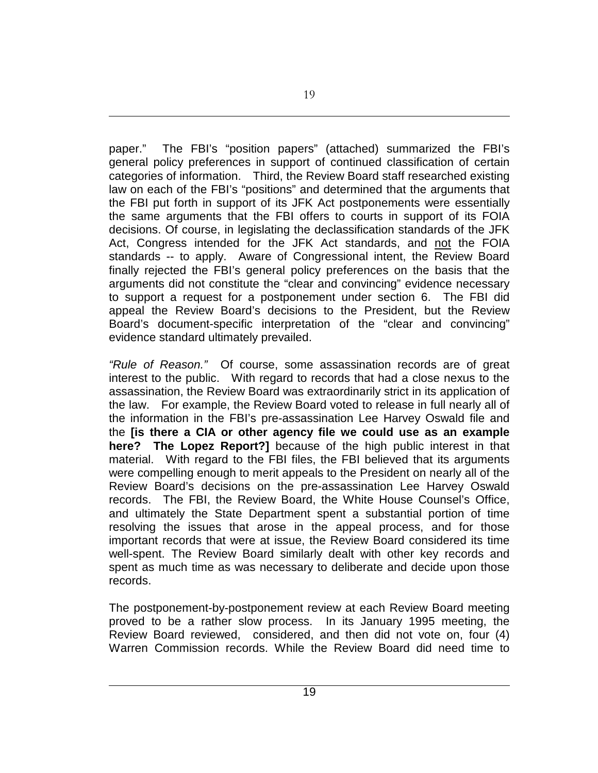paper." The FBI's "position papers" (attached) summarized the FBI's general policy preferences in support of continued classification of certain categories of information. Third, the Review Board staff researched existing law on each of the FBI's "positions" and determined that the arguments that the FBI put forth in support of its JFK Act postponements were essentially the same arguments that the FBI offers to courts in support of its FOIA decisions. Of course, in legislating the declassification standards of the JFK Act, Congress intended for the JFK Act standards, and not the FOIA standards -- to apply. Aware of Congressional intent, the Review Board finally rejected the FBI's general policy preferences on the basis that the arguments did not constitute the "clear and convincing" evidence necessary to support a request for a postponement under section 6. The FBI did appeal the Review Board's decisions to the President, but the Review Board's document-specific interpretation of the "clear and convincing" evidence standard ultimately prevailed.

*"Rule of Reason."* Of course, some assassination records are of great interest to the public. With regard to records that had a close nexus to the assassination, the Review Board was extraordinarily strict in its application of the law. For example, the Review Board voted to release in full nearly all of the information in the FBI's pre-assassination Lee Harvey Oswald file and the **[is there a CIA or other agency file we could use as an example here? The Lopez Report?]** because of the high public interest in that material. With regard to the FBI files, the FBI believed that its arguments were compelling enough to merit appeals to the President on nearly all of the Review Board's decisions on the pre-assassination Lee Harvey Oswald records. The FBI, the Review Board, the White House Counsel's Office, and ultimately the State Department spent a substantial portion of time resolving the issues that arose in the appeal process, and for those important records that were at issue, the Review Board considered its time well-spent. The Review Board similarly dealt with other key records and spent as much time as was necessary to deliberate and decide upon those records.

The postponement-by-postponement review at each Review Board meeting proved to be a rather slow process. In its January 1995 meeting, the Review Board reviewed, considered, and then did not vote on, four (4) Warren Commission records. While the Review Board did need time to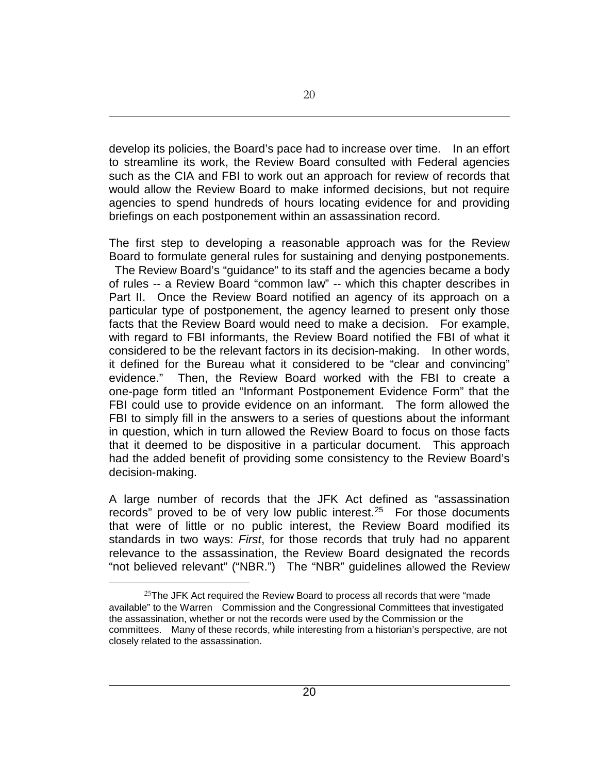develop its policies, the Board's pace had to increase over time. In an effort to streamline its work, the Review Board consulted with Federal agencies such as the CIA and FBI to work out an approach for review of records that would allow the Review Board to make informed decisions, but not require agencies to spend hundreds of hours locating evidence for and providing briefings on each postponement within an assassination record.

The first step to developing a reasonable approach was for the Review Board to formulate general rules for sustaining and denying postponements. The Review Board's "guidance" to its staff and the agencies became a body of rules -- a Review Board "common law" -- which this chapter describes in Part II. Once the Review Board notified an agency of its approach on a particular type of postponement, the agency learned to present only those facts that the Review Board would need to make a decision. For example, with regard to FBI informants, the Review Board notified the FBI of what it considered to be the relevant factors in its decision-making. In other words, it defined for the Bureau what it considered to be "clear and convincing" evidence." Then, the Review Board worked with the FBI to create a one-page form titled an "Informant Postponement Evidence Form" that the FBI could use to provide evidence on an informant. The form allowed the FBI to simply fill in the answers to a series of questions about the informant in question, which in turn allowed the Review Board to focus on those facts that it deemed to be dispositive in a particular document. This approach had the added benefit of providing some consistency to the Review Board's decision-making.

A large number of records that the JFK Act defined as "assassination records" proved to be of very low public interest.<sup>25</sup> For those documents that were of little or no public interest, the Review Board modified its standards in two ways: *First*, for those records that truly had no apparent relevance to the assassination, the Review Board designated the records "not believed relevant" ("NBR.") The "NBR" guidelines allowed the Review

<span id="page-19-0"></span> $25$ The JFK Act required the Review Board to process all records that were "made available" to the Warren Commission and the Congressional Committees that investigated the assassination, whether or not the records were used by the Commission or the committees. Many of these records, while interesting from a historian's perspective, are not closely related to the assassination.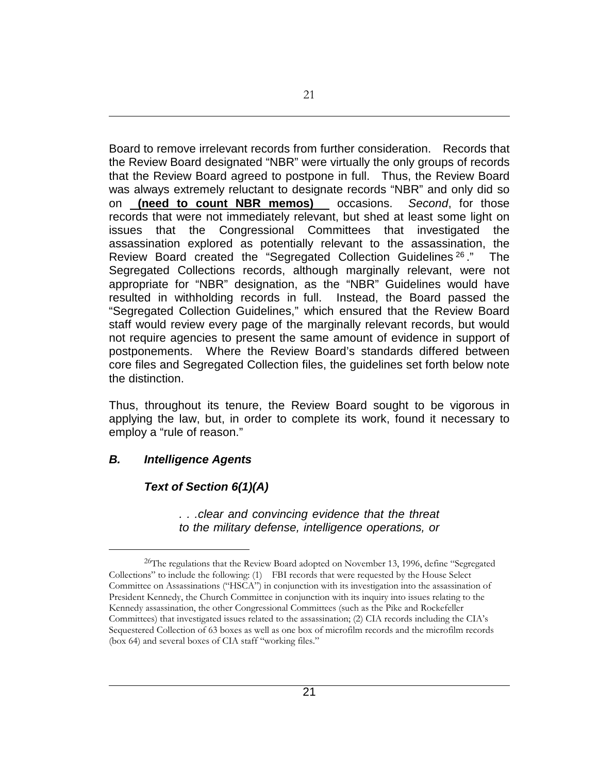Board to remove irrelevant records from further consideration. Records that the Review Board designated "NBR" were virtually the only groups of records that the Review Board agreed to postpone in full. Thus, the Review Board was always extremely reluctant to designate records "NBR" and only did so on **(need to count NBR memos)** occasions. *Second*, for those records that were not immediately relevant, but shed at least some light on issues that the Congressional Committees that investigated the assassination explored as potentially relevant to the assassination, the Review Board created the "Segregated Collection Guidelines <sup>[26](#page-20-0)</sup>." The Segregated Collections records, although marginally relevant, were not appropriate for "NBR" designation, as the "NBR" Guidelines would have resulted in withholding records in full. Instead, the Board passed the "Segregated Collection Guidelines," which ensured that the Review Board staff would review every page of the marginally relevant records, but would not require agencies to present the same amount of evidence in support of postponements. Where the Review Board's standards differed between core files and Segregated Collection files, the guidelines set forth below note the distinction.

Thus, throughout its tenure, the Review Board sought to be vigorous in applying the law, but, in order to complete its work, found it necessary to employ a "rule of reason."

### *B. Intelligence Agents*

 $\overline{a}$ 

### *Text of Section 6(1)(A)*

*. . .clear and convincing evidence that the threat to the military defense, intelligence operations, or* 

<span id="page-20-0"></span><sup>&</sup>lt;sup>26</sup>The regulations that the Review Board adopted on November 13, 1996, define "Segregated Collections" to include the following: (1) FBI records that were requested by the House Select Committee on Assassinations ("HSCA") in conjunction with its investigation into the assassination of President Kennedy, the Church Committee in conjunction with its inquiry into issues relating to the Kennedy assassination, the other Congressional Committees (such as the Pike and Rockefeller Committees) that investigated issues related to the assassination; (2) CIA records including the CIA's Sequestered Collection of 63 boxes as well as one box of microfilm records and the microfilm records (box 64) and several boxes of CIA staff "working files."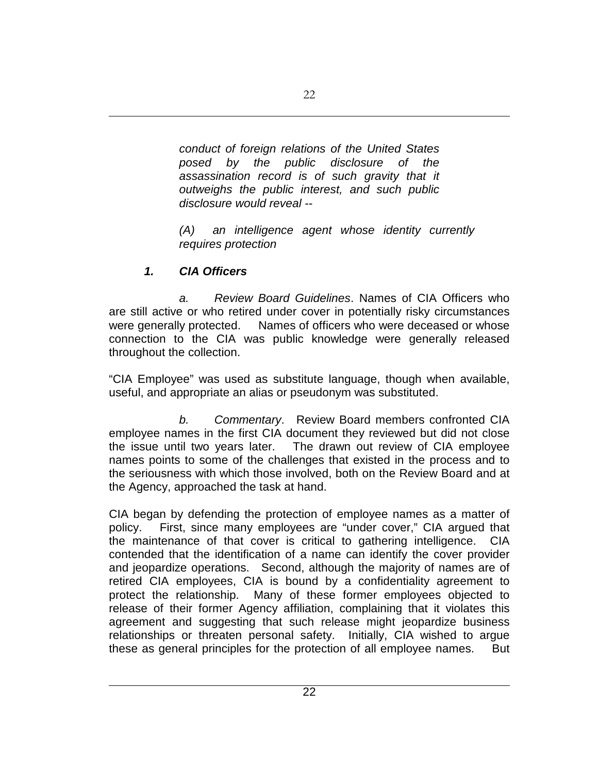*conduct of foreign relations of the United States posed by the public disclosure of the assassination record is of such gravity that it outweighs the public interest, and such public disclosure would reveal --*

*(A) an intelligence agent whose identity currently requires protection*

## *1. CIA Officers*

*a. Review Board Guidelines*. Names of CIA Officers who are still active or who retired under cover in potentially risky circumstances were generally protected. Names of officers who were deceased or whose connection to the CIA was public knowledge were generally released throughout the collection.

"CIA Employee" was used as substitute language, though when available, useful, and appropriate an alias or pseudonym was substituted.

*b. Commentary*. Review Board members confronted CIA employee names in the first CIA document they reviewed but did not close the issue until two years later. The drawn out review of CIA employee names points to some of the challenges that existed in the process and to the seriousness with which those involved, both on the Review Board and at the Agency, approached the task at hand.

CIA began by defending the protection of employee names as a matter of policy. First, since many employees are "under cover," CIA argued that the maintenance of that cover is critical to gathering intelligence. CIA contended that the identification of a name can identify the cover provider and jeopardize operations. Second, although the majority of names are of retired CIA employees, CIA is bound by a confidentiality agreement to protect the relationship. Many of these former employees objected to release of their former Agency affiliation, complaining that it violates this agreement and suggesting that such release might jeopardize business relationships or threaten personal safety. Initially, CIA wished to argue these as general principles for the protection of all employee names. But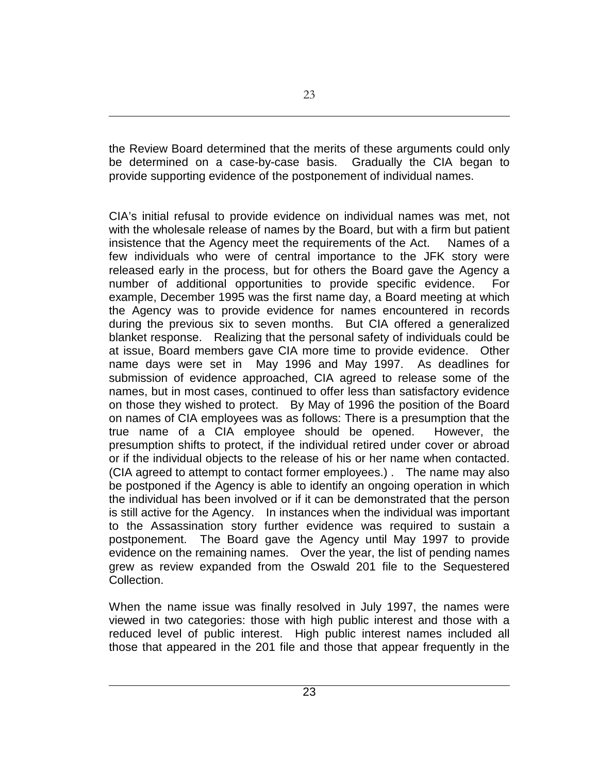the Review Board determined that the merits of these arguments could only be determined on a case-by-case basis. Gradually the CIA began to provide supporting evidence of the postponement of individual names.

CIA's initial refusal to provide evidence on individual names was met, not with the wholesale release of names by the Board, but with a firm but patient insistence that the Agency meet the requirements of the Act. Names of a few individuals who were of central importance to the JFK story were released early in the process, but for others the Board gave the Agency a number of additional opportunities to provide specific evidence. For example, December 1995 was the first name day, a Board meeting at which the Agency was to provide evidence for names encountered in records during the previous six to seven months. But CIA offered a generalized blanket response. Realizing that the personal safety of individuals could be at issue, Board members gave CIA more time to provide evidence. Other name days were set in May 1996 and May 1997. As deadlines for submission of evidence approached, CIA agreed to release some of the names, but in most cases, continued to offer less than satisfactory evidence on those they wished to protect. By May of 1996 the position of the Board on names of CIA employees was as follows: There is a presumption that the true name of a CIA employee should be opened. However, the presumption shifts to protect, if the individual retired under cover or abroad or if the individual objects to the release of his or her name when contacted. (CIA agreed to attempt to contact former employees.) . The name may also be postponed if the Agency is able to identify an ongoing operation in which the individual has been involved or if it can be demonstrated that the person is still active for the Agency. In instances when the individual was important to the Assassination story further evidence was required to sustain a postponement. The Board gave the Agency until May 1997 to provide evidence on the remaining names. Over the year, the list of pending names grew as review expanded from the Oswald 201 file to the Sequestered Collection.

When the name issue was finally resolved in July 1997, the names were viewed in two categories: those with high public interest and those with a reduced level of public interest. High public interest names included all those that appeared in the 201 file and those that appear frequently in the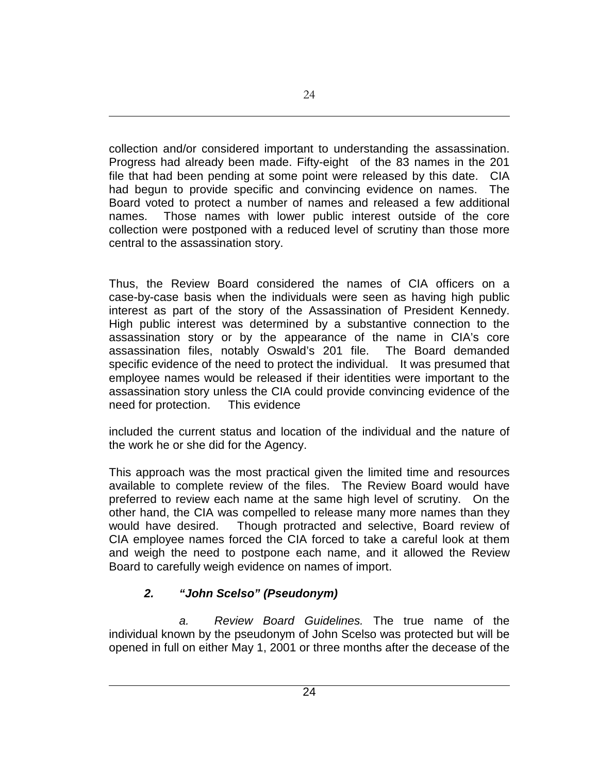collection and/or considered important to understanding the assassination. Progress had already been made. Fifty-eight of the 83 names in the 201 file that had been pending at some point were released by this date. CIA had begun to provide specific and convincing evidence on names. The Board voted to protect a number of names and released a few additional names. Those names with lower public interest outside of the core collection were postponed with a reduced level of scrutiny than those more central to the assassination story.

Thus, the Review Board considered the names of CIA officers on a case-by-case basis when the individuals were seen as having high public interest as part of the story of the Assassination of President Kennedy. High public interest was determined by a substantive connection to the assassination story or by the appearance of the name in CIA's core assassination files, notably Oswald's 201 file. The Board demanded specific evidence of the need to protect the individual. It was presumed that employee names would be released if their identities were important to the assassination story unless the CIA could provide convincing evidence of the need for protection. This evidence

included the current status and location of the individual and the nature of the work he or she did for the Agency.

This approach was the most practical given the limited time and resources available to complete review of the files. The Review Board would have preferred to review each name at the same high level of scrutiny. On the other hand, the CIA was compelled to release many more names than they would have desired. Though protracted and selective, Board review of CIA employee names forced the CIA forced to take a careful look at them and weigh the need to postpone each name, and it allowed the Review Board to carefully weigh evidence on names of import.

# *2. "John Scelso" (Pseudonym)*

*a. Review Board Guidelines.* The true name of the individual known by the pseudonym of John Scelso was protected but will be opened in full on either May 1, 2001 or three months after the decease of the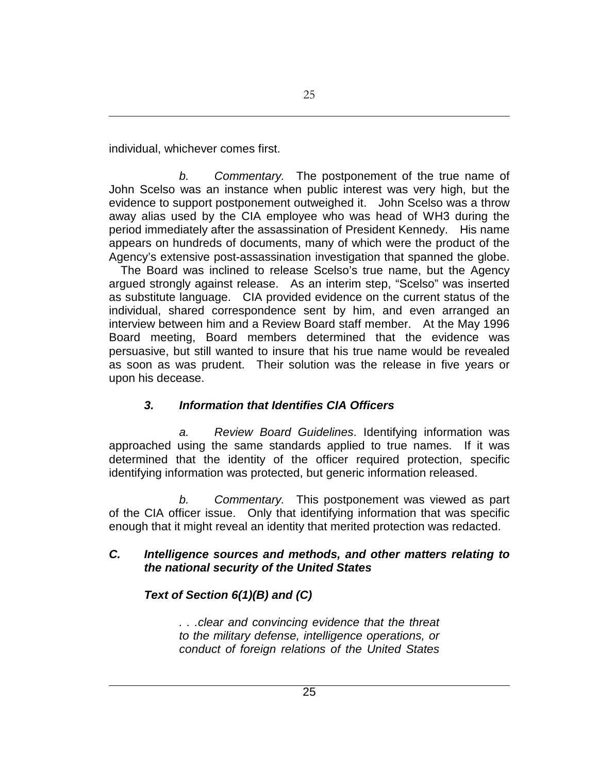individual, whichever comes first.

*b. Commentary.* The postponement of the true name of John Scelso was an instance when public interest was very high, but the evidence to support postponement outweighed it. John Scelso was a throw away alias used by the CIA employee who was head of WH3 during the period immediately after the assassination of President Kennedy. His name appears on hundreds of documents, many of which were the product of the Agency's extensive post-assassination investigation that spanned the globe.

 The Board was inclined to release Scelso's true name, but the Agency argued strongly against release. As an interim step, "Scelso" was inserted as substitute language. CIA provided evidence on the current status of the individual, shared correspondence sent by him, and even arranged an interview between him and a Review Board staff member. At the May 1996 Board meeting, Board members determined that the evidence was persuasive, but still wanted to insure that his true name would be revealed as soon as was prudent. Their solution was the release in five years or upon his decease.

## *3. Information that Identifies CIA Officers*

*a. Review Board Guidelines*. Identifying information was approached using the same standards applied to true names. If it was determined that the identity of the officer required protection, specific identifying information was protected, but generic information released.

*b. Commentary.* This postponement was viewed as part of the CIA officer issue. Only that identifying information that was specific enough that it might reveal an identity that merited protection was redacted.

### *C. Intelligence sources and methods, and other matters relating to the national security of the United States*

## *Text of Section 6(1)(B) and (C)*

*. . .clear and convincing evidence that the threat to the military defense, intelligence operations, or conduct of foreign relations of the United States*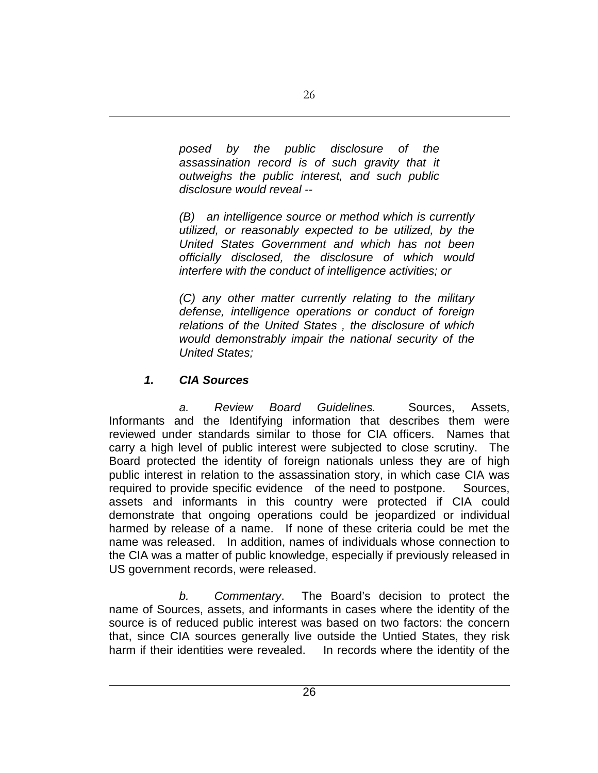*posed by the public disclosure of the assassination record is of such gravity that it outweighs the public interest, and such public disclosure would reveal --*

*(B) an intelligence source or method which is currently utilized, or reasonably expected to be utilized, by the United States Government and which has not been officially disclosed, the disclosure of which would interfere with the conduct of intelligence activities; or*

*(C) any other matter currently relating to the military defense, intelligence operations or conduct of foreign relations of the United States , the disclosure of which would demonstrably impair the national security of the United States;*

## *1. CIA Sources*

*a. Review Board Guidelines.* Sources, Assets, Informants and the Identifying information that describes them were reviewed under standards similar to those for CIA officers. Names that carry a high level of public interest were subjected to close scrutiny. The Board protected the identity of foreign nationals unless they are of high public interest in relation to the assassination story, in which case CIA was required to provide specific evidence of the need to postpone. Sources, assets and informants in this country were protected if CIA could demonstrate that ongoing operations could be jeopardized or individual harmed by release of a name. If none of these criteria could be met the name was released. In addition, names of individuals whose connection to the CIA was a matter of public knowledge, especially if previously released in US government records, were released.

*b. Commentary*. The Board's decision to protect the name of Sources, assets, and informants in cases where the identity of the source is of reduced public interest was based on two factors: the concern that, since CIA sources generally live outside the Untied States, they risk harm if their identities were revealed. In records where the identity of the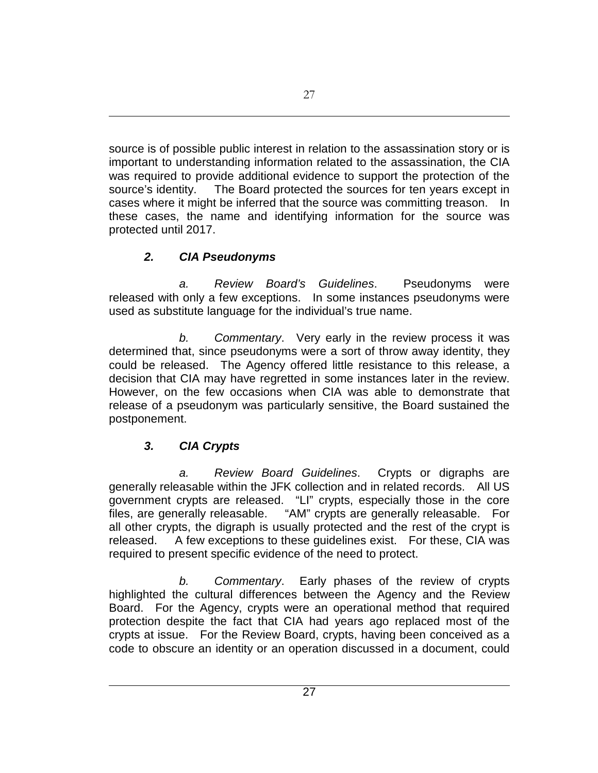source is of possible public interest in relation to the assassination story or is important to understanding information related to the assassination, the CIA was required to provide additional evidence to support the protection of the source's identity.The Board protected the sources for ten years except in cases where it might be inferred that the source was committing treason. In these cases, the name and identifying information for the source was protected until 2017.

# *2. CIA Pseudonyms*

*a. Review Board's Guidelines*. Pseudonyms were released with only a few exceptions. In some instances pseudonyms were used as substitute language for the individual's true name.

*b. Commentary*. Very early in the review process it was determined that, since pseudonyms were a sort of throw away identity, they could be released. The Agency offered little resistance to this release, a decision that CIA may have regretted in some instances later in the review. However, on the few occasions when CIA was able to demonstrate that release of a pseudonym was particularly sensitive, the Board sustained the postponement.

# *3. CIA Crypts*

*a. Review Board Guidelines*. Crypts or digraphs are generally releasable within the JFK collection and in related records. All US government crypts are released. "LI" crypts, especially those in the core files, are generally releasable. "AM" crypts are generally releasable. For all other crypts, the digraph is usually protected and the rest of the crypt is released. A few exceptions to these guidelines exist. For these, CIA was required to present specific evidence of the need to protect.

*b. Commentary*. Early phases of the review of crypts highlighted the cultural differences between the Agency and the Review Board. For the Agency, crypts were an operational method that required protection despite the fact that CIA had years ago replaced most of the crypts at issue. For the Review Board, crypts, having been conceived as a code to obscure an identity or an operation discussed in a document, could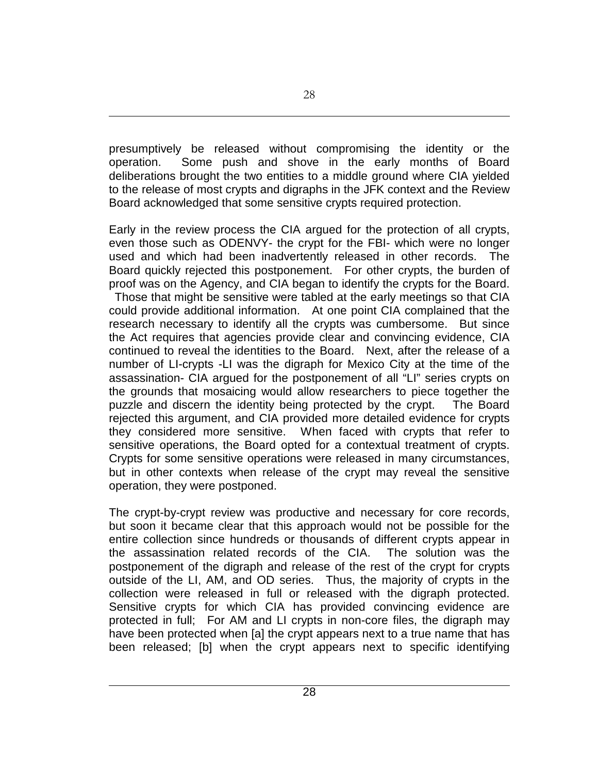presumptively be released without compromising the identity or the operation. Some push and shove in the early months of Board deliberations brought the two entities to a middle ground where CIA yielded to the release of most crypts and digraphs in the JFK context and the Review Board acknowledged that some sensitive crypts required protection.

Early in the review process the CIA argued for the protection of all crypts, even those such as ODENVY- the crypt for the FBI- which were no longer used and which had been inadvertently released in other records. The Board quickly rejected this postponement. For other crypts, the burden of proof was on the Agency, and CIA began to identify the crypts for the Board. Those that might be sensitive were tabled at the early meetings so that CIA could provide additional information. At one point CIA complained that the research necessary to identify all the crypts was cumbersome. But since the Act requires that agencies provide clear and convincing evidence, CIA continued to reveal the identities to the Board. Next, after the release of a number of LI-crypts -LI was the digraph for Mexico City at the time of the assassination- CIA argued for the postponement of all "LI" series crypts on the grounds that mosaicing would allow researchers to piece together the puzzle and discern the identity being protected by the crypt. The Board rejected this argument, and CIA provided more detailed evidence for crypts they considered more sensitive. When faced with crypts that refer to sensitive operations, the Board opted for a contextual treatment of crypts. Crypts for some sensitive operations were released in many circumstances, but in other contexts when release of the crypt may reveal the sensitive operation, they were postponed.

The crypt-by-crypt review was productive and necessary for core records, but soon it became clear that this approach would not be possible for the entire collection since hundreds or thousands of different crypts appear in the assassination related records of the CIA. The solution was the postponement of the digraph and release of the rest of the crypt for crypts outside of the LI, AM, and OD series. Thus, the majority of crypts in the collection were released in full or released with the digraph protected. Sensitive crypts for which CIA has provided convincing evidence are protected in full; For AM and LI crypts in non-core files, the digraph may have been protected when [a] the crypt appears next to a true name that has been released; [b] when the crypt appears next to specific identifying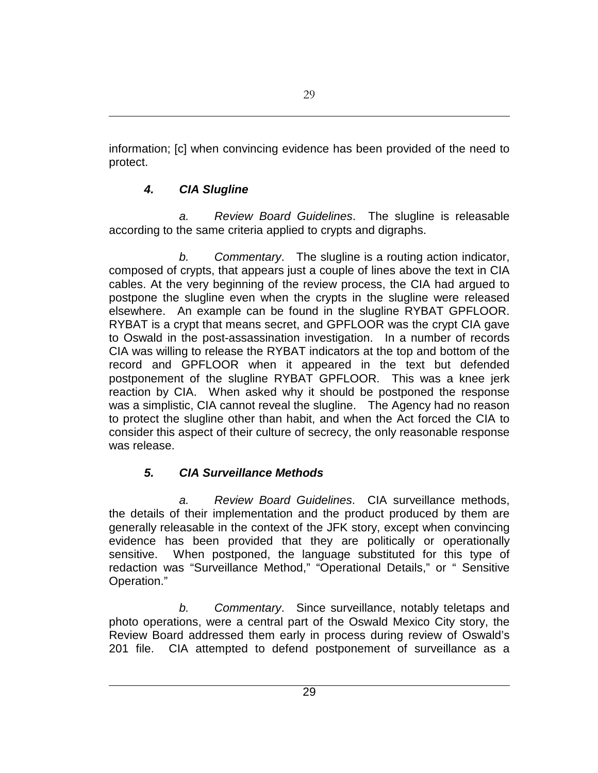information; [c] when convincing evidence has been provided of the need to protect.

# *4. CIA Slugline*

*a. Review Board Guidelines*. The slugline is releasable according to the same criteria applied to crypts and digraphs.

*b. Commentary*. The slugline is a routing action indicator, composed of crypts, that appears just a couple of lines above the text in CIA cables. At the very beginning of the review process, the CIA had argued to postpone the slugline even when the crypts in the slugline were released elsewhere. An example can be found in the slugline RYBAT GPFLOOR. RYBAT is a crypt that means secret, and GPFLOOR was the crypt CIA gave to Oswald in the post-assassination investigation. In a number of records CIA was willing to release the RYBAT indicators at the top and bottom of the record and GPFLOOR when it appeared in the text but defended postponement of the slugline RYBAT GPFLOOR. This was a knee jerk reaction by CIA. When asked why it should be postponed the response was a simplistic, CIA cannot reveal the slugline. The Agency had no reason to protect the slugline other than habit, and when the Act forced the CIA to consider this aspect of their culture of secrecy, the only reasonable response was release.

# *5. CIA Surveillance Methods*

*a. Review Board Guidelines*. CIA surveillance methods, the details of their implementation and the product produced by them are generally releasable in the context of the JFK story, except when convincing evidence has been provided that they are politically or operationally sensitive. When postponed, the language substituted for this type of redaction was "Surveillance Method," "Operational Details," or " Sensitive Operation."

*b. Commentary*. Since surveillance, notably teletaps and photo operations, were a central part of the Oswald Mexico City story, the Review Board addressed them early in process during review of Oswald's 201 file. CIA attempted to defend postponement of surveillance as a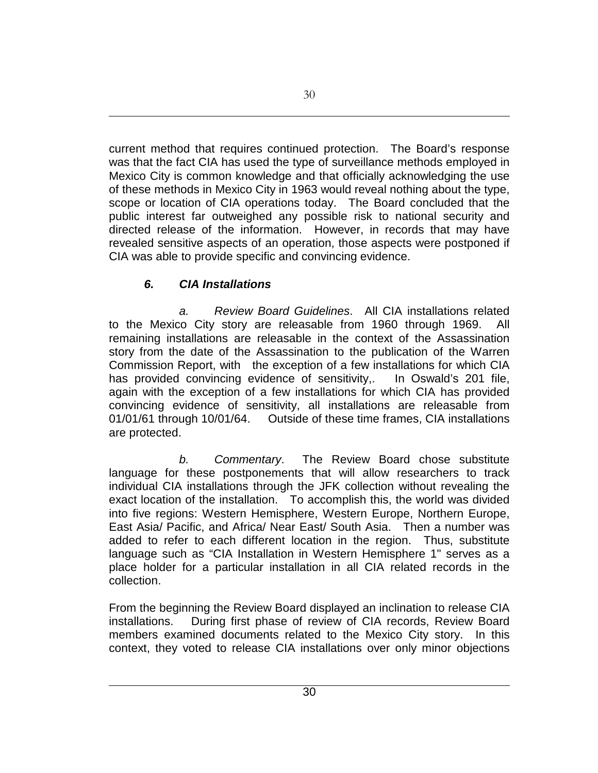current method that requires continued protection. The Board's response was that the fact CIA has used the type of surveillance methods employed in Mexico City is common knowledge and that officially acknowledging the use of these methods in Mexico City in 1963 would reveal nothing about the type, scope or location of CIA operations today. The Board concluded that the public interest far outweighed any possible risk to national security and directed release of the information. However, in records that may have revealed sensitive aspects of an operation, those aspects were postponed if CIA was able to provide specific and convincing evidence.

## *6. CIA Installations*

*a. Review Board Guidelines*. All CIA installations related to the Mexico City story are releasable from 1960 through 1969. All remaining installations are releasable in the context of the Assassination story from the date of the Assassination to the publication of the Warren Commission Report, with the exception of a few installations for which CIA has provided convincing evidence of sensitivity,. In Oswald's 201 file, again with the exception of a few installations for which CIA has provided convincing evidence of sensitivity, all installations are releasable from 01/01/61 through 10/01/64. Outside of these time frames, CIA installations are protected.

*b. Commentary*. The Review Board chose substitute language for these postponements that will allow researchers to track individual CIA installations through the JFK collection without revealing the exact location of the installation. To accomplish this, the world was divided into five regions: Western Hemisphere, Western Europe, Northern Europe, East Asia/ Pacific, and Africa/ Near East/ South Asia. Then a number was added to refer to each different location in the region. Thus, substitute language such as "CIA Installation in Western Hemisphere 1" serves as a place holder for a particular installation in all CIA related records in the collection.

From the beginning the Review Board displayed an inclination to release CIA installations. During first phase of review of CIA records, Review Board members examined documents related to the Mexico City story. In this context, they voted to release CIA installations over only minor objections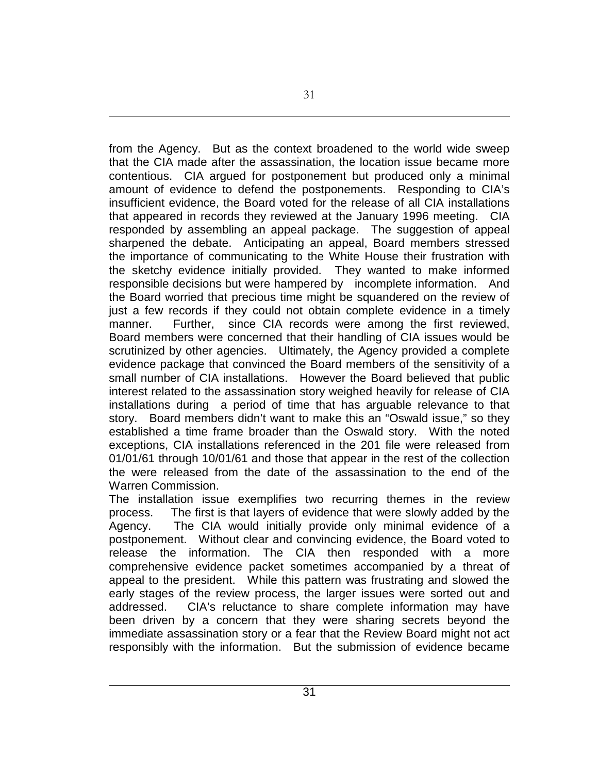from the Agency. But as the context broadened to the world wide sweep that the CIA made after the assassination, the location issue became more contentious. CIA argued for postponement but produced only a minimal amount of evidence to defend the postponements. Responding to CIA's insufficient evidence, the Board voted for the release of all CIA installations that appeared in records they reviewed at the January 1996 meeting. CIA responded by assembling an appeal package. The suggestion of appeal sharpened the debate. Anticipating an appeal, Board members stressed the importance of communicating to the White House their frustration with the sketchy evidence initially provided. They wanted to make informed responsible decisions but were hampered by incomplete information. And the Board worried that precious time might be squandered on the review of just a few records if they could not obtain complete evidence in a timely manner. Further, since CIA records were among the first reviewed, Board members were concerned that their handling of CIA issues would be scrutinized by other agencies. Ultimately, the Agency provided a complete evidence package that convinced the Board members of the sensitivity of a small number of CIA installations. However the Board believed that public interest related to the assassination story weighed heavily for release of CIA installations during a period of time that has arguable relevance to that story. Board members didn't want to make this an "Oswald issue," so they established a time frame broader than the Oswald story. With the noted exceptions, CIA installations referenced in the 201 file were released from 01/01/61 through 10/01/61 and those that appear in the rest of the collection the were released from the date of the assassination to the end of the Warren Commission.

The installation issue exemplifies two recurring themes in the review process. The first is that layers of evidence that were slowly added by the Agency. The CIA would initially provide only minimal evidence of a postponement. Without clear and convincing evidence, the Board voted to release the information. The CIA then responded with a more comprehensive evidence packet sometimes accompanied by a threat of appeal to the president. While this pattern was frustrating and slowed the early stages of the review process, the larger issues were sorted out and addressed. CIA's reluctance to share complete information may have been driven by a concern that they were sharing secrets beyond the immediate assassination story or a fear that the Review Board might not act responsibly with the information. But the submission of evidence became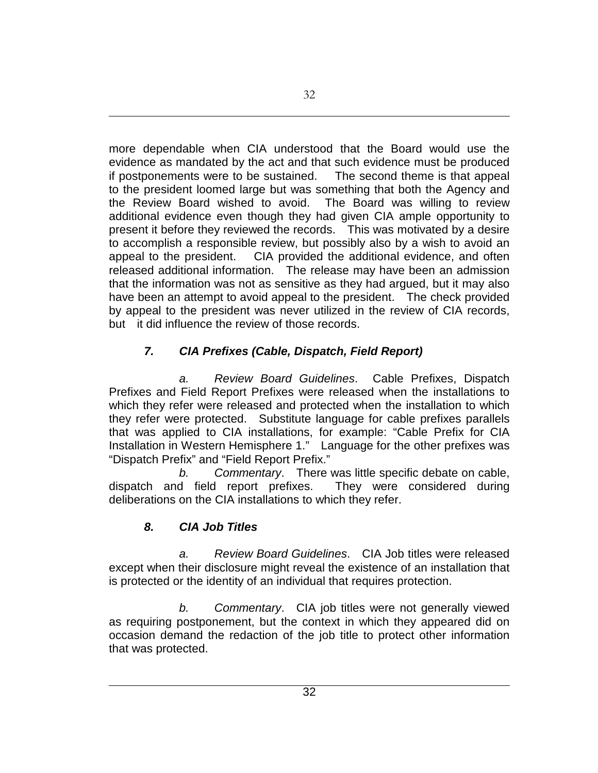more dependable when CIA understood that the Board would use the evidence as mandated by the act and that such evidence must be produced if postponements were to be sustained. The second theme is that appeal to the president loomed large but was something that both the Agency and the Review Board wished to avoid. The Board was willing to review additional evidence even though they had given CIA ample opportunity to present it before they reviewed the records. This was motivated by a desire to accomplish a responsible review, but possibly also by a wish to avoid an appeal to the president. CIA provided the additional evidence, and often released additional information. The release may have been an admission that the information was not as sensitive as they had argued, but it may also have been an attempt to avoid appeal to the president. The check provided by appeal to the president was never utilized in the review of CIA records, but it did influence the review of those records.

# *7. CIA Prefixes (Cable, Dispatch, Field Report)*

*a. Review Board Guidelines*. Cable Prefixes, Dispatch Prefixes and Field Report Prefixes were released when the installations to which they refer were released and protected when the installation to which they refer were protected. Substitute language for cable prefixes parallels that was applied to CIA installations, for example: "Cable Prefix for CIA Installation in Western Hemisphere 1." Language for the other prefixes was "Dispatch Prefix" and "Field Report Prefix."

*b. Commentary*. There was little specific debate on cable, dispatch and field report prefixes. They were considered during deliberations on the CIA installations to which they refer.

# *8. CIA Job Titles*

*a. Review Board Guidelines*. CIA Job titles were released except when their disclosure might reveal the existence of an installation that is protected or the identity of an individual that requires protection.

*b. Commentary*. CIA job titles were not generally viewed as requiring postponement, but the context in which they appeared did on occasion demand the redaction of the job title to protect other information that was protected.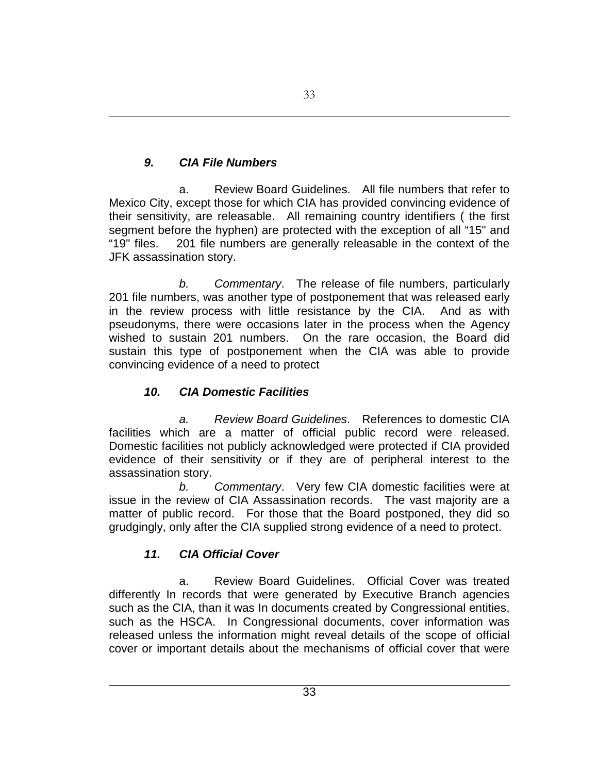# *9. CIA File Numbers*

a. Review Board Guidelines. All file numbers that refer to Mexico City, except those for which CIA has provided convincing evidence of their sensitivity, are releasable. All remaining country identifiers ( the first segment before the hyphen) are protected with the exception of all "15" and "19" files. 201 file numbers are generally releasable in the context of the JFK assassination story.

*b. Commentary*. The release of file numbers, particularly 201 file numbers, was another type of postponement that was released early in the review process with little resistance by the CIA. And as with pseudonyms, there were occasions later in the process when the Agency wished to sustain 201 numbers. On the rare occasion, the Board did sustain this type of postponement when the CIA was able to provide convincing evidence of a need to protect

# *10. CIA Domestic Facilities*

*a. Review Board Guidelines*. References to domestic CIA facilities which are a matter of official public record were released. Domestic facilities not publicly acknowledged were protected if CIA provided evidence of their sensitivity or if they are of peripheral interest to the assassination story.

*b. Commentary*. Very few CIA domestic facilities were at issue in the review of CIA Assassination records. The vast majority are a matter of public record. For those that the Board postponed, they did so grudgingly, only after the CIA supplied strong evidence of a need to protect.

# *11. CIA Official Cover*

a. Review Board Guidelines. Official Cover was treated differently In records that were generated by Executive Branch agencies such as the CIA, than it was In documents created by Congressional entities, such as the HSCA. In Congressional documents, cover information was released unless the information might reveal details of the scope of official cover or important details about the mechanisms of official cover that were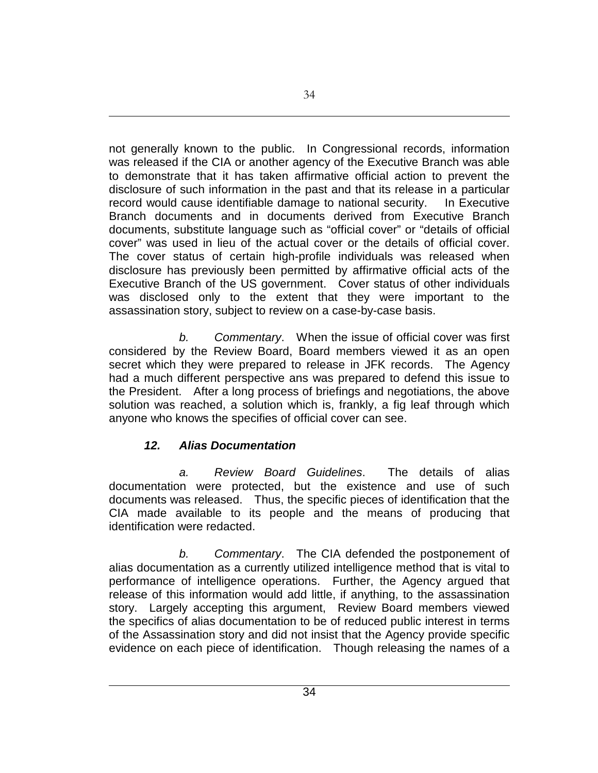not generally known to the public. In Congressional records, information was released if the CIA or another agency of the Executive Branch was able to demonstrate that it has taken affirmative official action to prevent the disclosure of such information in the past and that its release in a particular record would cause identifiable damage to national security. In Executive Branch documents and in documents derived from Executive Branch documents, substitute language such as "official cover" or "details of official cover" was used in lieu of the actual cover or the details of official cover. The cover status of certain high-profile individuals was released when disclosure has previously been permitted by affirmative official acts of the Executive Branch of the US government. Cover status of other individuals was disclosed only to the extent that they were important to the assassination story, subject to review on a case-by-case basis.

*b. Commentary*. When the issue of official cover was first considered by the Review Board, Board members viewed it as an open secret which they were prepared to release in JFK records. The Agency had a much different perspective ans was prepared to defend this issue to the President. After a long process of briefings and negotiations, the above solution was reached, a solution which is, frankly, a fig leaf through which anyone who knows the specifies of official cover can see.

# *12. Alias Documentation*

*a. Review Board Guidelines*. The details of alias documentation were protected, but the existence and use of such documents was released. Thus, the specific pieces of identification that the CIA made available to its people and the means of producing that identification were redacted.

*b. Commentary*. The CIA defended the postponement of alias documentation as a currently utilized intelligence method that is vital to performance of intelligence operations. Further, the Agency argued that release of this information would add little, if anything, to the assassination story. Largely accepting this argument, Review Board members viewed the specifics of alias documentation to be of reduced public interest in terms of the Assassination story and did not insist that the Agency provide specific evidence on each piece of identification. Though releasing the names of a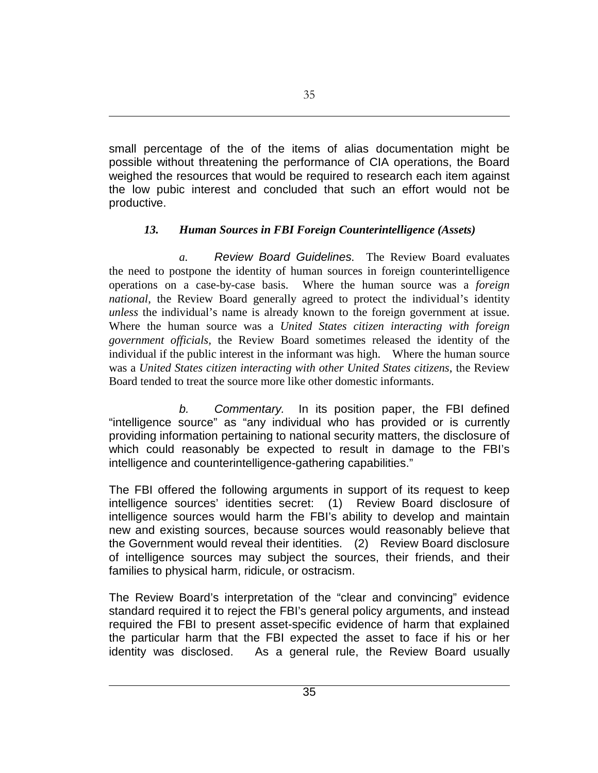small percentage of the of the items of alias documentation might be possible without threatening the performance of CIA operations, the Board weighed the resources that would be required to research each item against the low pubic interest and concluded that such an effort would not be productive.

## *13. Human Sources in FBI Foreign Counterintelligence (Assets)*

*a. Review Board Guidelines.* The Review Board evaluates the need to postpone the identity of human sources in foreign counterintelligence operations on a case-by-case basis. Where the human source was a *foreign national*, the Review Board generally agreed to protect the individual's identity *unless* the individual's name is already known to the foreign government at issue. Where the human source was a *United States citizen interacting with foreign government officials,* the Review Board sometimes released the identity of the individual if the public interest in the informant was high. Where the human source was a *United States citizen interacting with other United States citizens*, the Review Board tended to treat the source more like other domestic informants.

*b. Commentary.* In its position paper, the FBI defined "intelligence source" as "any individual who has provided or is currently providing information pertaining to national security matters, the disclosure of which could reasonably be expected to result in damage to the FBI's intelligence and counterintelligence-gathering capabilities."

The FBI offered the following arguments in support of its request to keep intelligence sources' identities secret: (1) Review Board disclosure of intelligence sources would harm the FBI's ability to develop and maintain new and existing sources, because sources would reasonably believe that the Government would reveal their identities. (2) Review Board disclosure of intelligence sources may subject the sources, their friends, and their families to physical harm, ridicule, or ostracism.

The Review Board's interpretation of the "clear and convincing" evidence standard required it to reject the FBI's general policy arguments, and instead required the FBI to present asset-specific evidence of harm that explained the particular harm that the FBI expected the asset to face if his or her identity was disclosed. As a general rule, the Review Board usually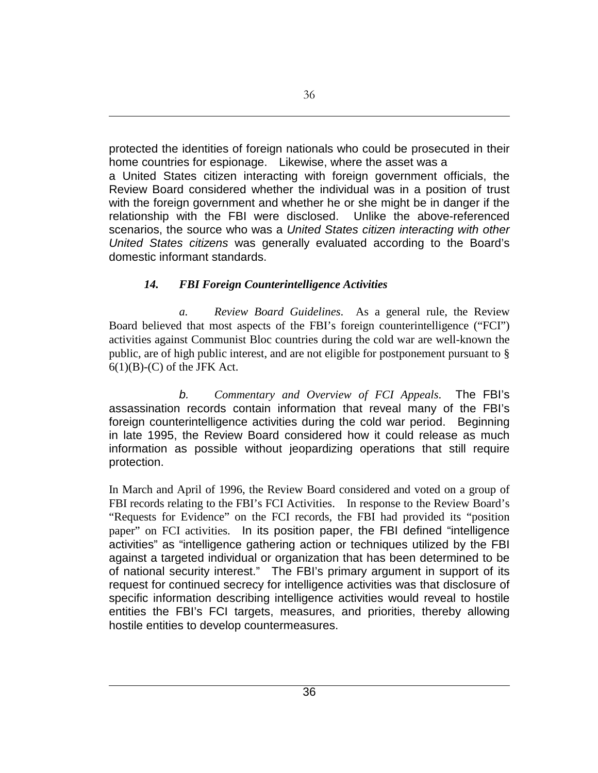protected the identities of foreign nationals who could be prosecuted in their home countries for espionage. Likewise, where the asset was a

a United States citizen interacting with foreign government officials, the Review Board considered whether the individual was in a position of trust with the foreign government and whether he or she might be in danger if the relationship with the FBI were disclosed. Unlike the above-referenced scenarios, the source who was a *United States citizen interacting with other United States citizens* was generally evaluated according to the Board's domestic informant standards.

## *14. FBI Foreign Counterintelligence Activities*

*a. Review Board Guidelines*. As a general rule, the Review Board believed that most aspects of the FBI's foreign counterintelligence ("FCI") activities against Communist Bloc countries during the cold war are well-known the public, are of high public interest, and are not eligible for postponement pursuant to §  $6(1)(B)-(C)$  of the JFK Act.

*b. Commentary and Overview of FCI Appeals*. The FBI's assassination records contain information that reveal many of the FBI's foreign counterintelligence activities during the cold war period. Beginning in late 1995, the Review Board considered how it could release as much information as possible without jeopardizing operations that still require protection.

In March and April of 1996, the Review Board considered and voted on a group of FBI records relating to the FBI's FCI Activities. In response to the Review Board's "Requests for Evidence" on the FCI records, the FBI had provided its "position paper" on FCI activities. In its position paper, the FBI defined "intelligence activities" as "intelligence gathering action or techniques utilized by the FBI against a targeted individual or organization that has been determined to be of national security interest." The FBI's primary argument in support of its request for continued secrecy for intelligence activities was that disclosure of specific information describing intelligence activities would reveal to hostile entities the FBI's FCI targets, measures, and priorities, thereby allowing hostile entities to develop countermeasures.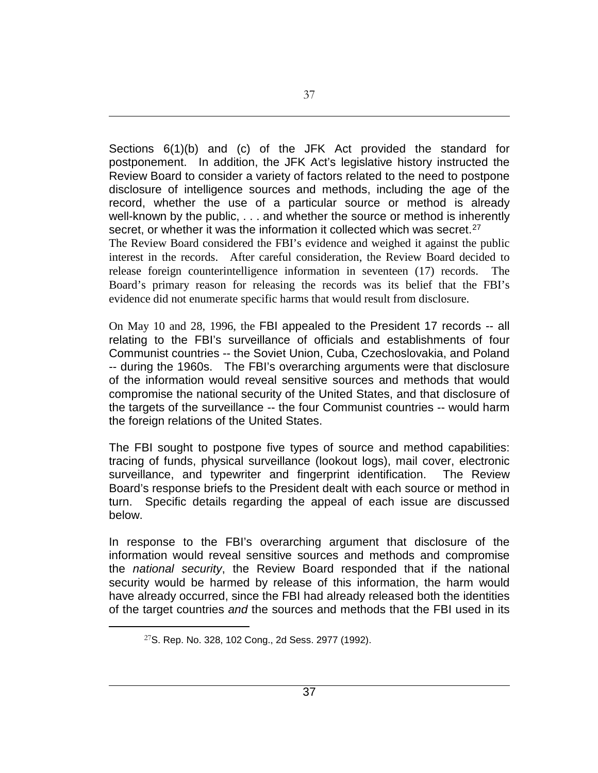Sections 6(1)(b) and (c) of the JFK Act provided the standard for postponement. In addition, the JFK Act's legislative history instructed the Review Board to consider a variety of factors related to the need to postpone disclosure of intelligence sources and methods, including the age of the record, whether the use of a particular source or method is already well-known by the public, . . . and whether the source or method is inherently secret, or whether it was the information it collected which was secret.<sup>[27](#page-36-0)</sup> The Review Board considered the FBI's evidence and weighed it against the public interest in the records. After careful consideration, the Review Board decided to release foreign counterintelligence information in seventeen (17) records. The Board's primary reason for releasing the records was its belief that the FBI's evidence did not enumerate specific harms that would result from disclosure.

On May 10 and 28, 1996, the FBI appealed to the President 17 records -- all relating to the FBI's surveillance of officials and establishments of four Communist countries -- the Soviet Union, Cuba, Czechoslovakia, and Poland -- during the 1960s. The FBI's overarching arguments were that disclosure of the information would reveal sensitive sources and methods that would compromise the national security of the United States, and that disclosure of the targets of the surveillance -- the four Communist countries -- would harm the foreign relations of the United States.

The FBI sought to postpone five types of source and method capabilities: tracing of funds, physical surveillance (lookout logs), mail cover, electronic surveillance, and typewriter and fingerprint identification. The Review Board's response briefs to the President dealt with each source or method in turn. Specific details regarding the appeal of each issue are discussed below.

In response to the FBI's overarching argument that disclosure of the information would reveal sensitive sources and methods and compromise the *national security*, the Review Board responded that if the national security would be harmed by release of this information, the harm would have already occurred, since the FBI had already released both the identities of the target countries *and* the sources and methods that the FBI used in its

<span id="page-36-0"></span> $\overline{a}$ 

37

<sup>27</sup>S. Rep. No. 328, 102 Cong., 2d Sess. 2977 (1992).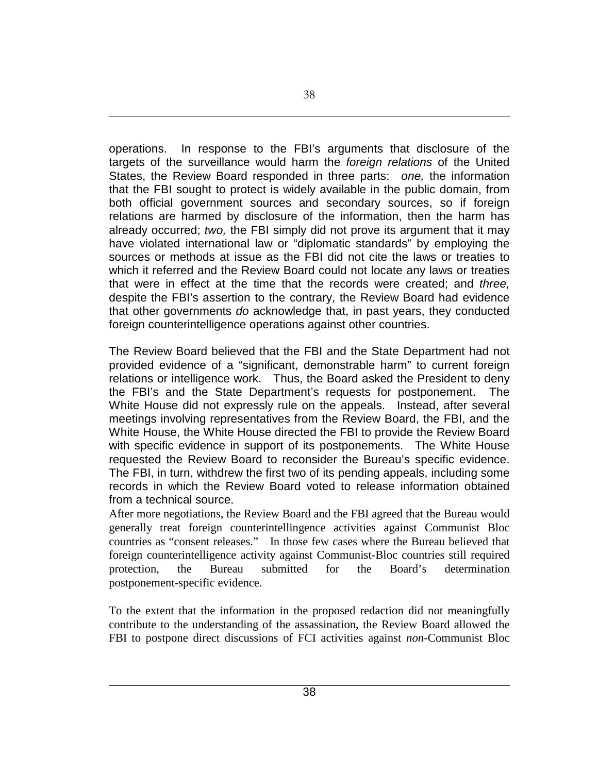operations. In response to the FBI's arguments that disclosure of the targets of the surveillance would harm the *foreign relations* of the United States, the Review Board responded in three parts: *one,* the information that the FBI sought to protect is widely available in the public domain, from both official government sources and secondary sources, so if foreign relations are harmed by disclosure of the information, then the harm has already occurred; *two,* the FBI simply did not prove its argument that it may have violated international law or "diplomatic standards" by employing the sources or methods at issue as the FBI did not cite the laws or treaties to which it referred and the Review Board could not locate any laws or treaties that were in effect at the time that the records were created; and *three,* despite the FBI's assertion to the contrary, the Review Board had evidence that other governments *do* acknowledge that, in past years, they conducted foreign counterintelligence operations against other countries.

The Review Board believed that the FBI and the State Department had not provided evidence of a "significant, demonstrable harm" to current foreign relations or intelligence work. Thus, the Board asked the President to deny the FBI's and the State Department's requests for postponement. The White House did not expressly rule on the appeals. Instead, after several meetings involving representatives from the Review Board, the FBI, and the White House, the White House directed the FBI to provide the Review Board with specific evidence in support of its postponements. The White House requested the Review Board to reconsider the Bureau's specific evidence. The FBI, in turn, withdrew the first two of its pending appeals, including some records in which the Review Board voted to release information obtained from a technical source.

After more negotiations, the Review Board and the FBI agreed that the Bureau would generally treat foreign counterintellingence activities against Communist Bloc countries as "consent releases." In those few cases where the Bureau believed that foreign counterintelligence activity against Communist-Bloc countries still required protection, the Bureau submitted for the Board's determination postponement-specific evidence.

To the extent that the information in the proposed redaction did not meaningfully contribute to the understanding of the assassination, the Review Board allowed the FBI to postpone direct discussions of FCI activities against *non*-Communist Bloc

38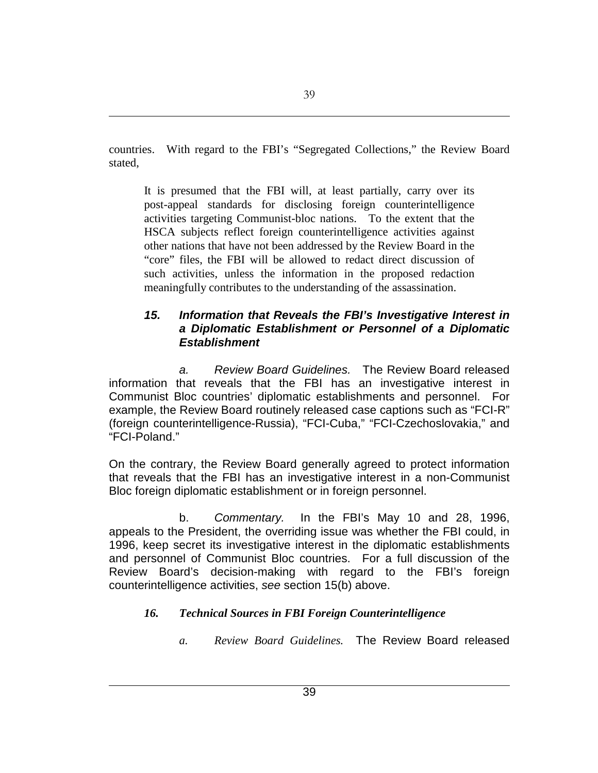countries. With regard to the FBI's "Segregated Collections," the Review Board stated,

It is presumed that the FBI will, at least partially, carry over its post-appeal standards for disclosing foreign counterintelligence activities targeting Communist-bloc nations. To the extent that the HSCA subjects reflect foreign counterintelligence activities against other nations that have not been addressed by the Review Board in the "core" files, the FBI will be allowed to redact direct discussion of such activities, unless the information in the proposed redaction meaningfully contributes to the understanding of the assassination.

### *15. Information that Reveals the FBI's Investigative Interest in a Diplomatic Establishment or Personnel of a Diplomatic Establishment*

*a. Review Board Guidelines.* The Review Board released information that reveals that the FBI has an investigative interest in Communist Bloc countries' diplomatic establishments and personnel. For example, the Review Board routinely released case captions such as "FCI-R" (foreign counterintelligence-Russia), "FCI-Cuba," "FCI-Czechoslovakia," and "FCI-Poland."

On the contrary, the Review Board generally agreed to protect information that reveals that the FBI has an investigative interest in a non-Communist Bloc foreign diplomatic establishment or in foreign personnel.

b. *Commentary.* In the FBI's May 10 and 28, 1996, appeals to the President, the overriding issue was whether the FBI could, in 1996, keep secret its investigative interest in the diplomatic establishments and personnel of Communist Bloc countries. For a full discussion of the Review Board's decision-making with regard to the FBI's foreign counterintelligence activities, *see* section 15(b) above.

## *16. Technical Sources in FBI Foreign Counterintelligence*

*a. Review Board Guidelines.* The Review Board released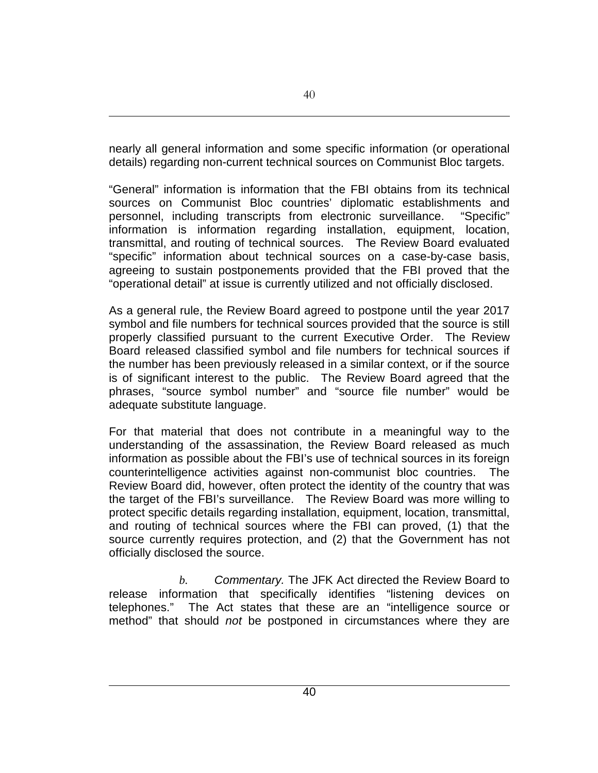nearly all general information and some specific information (or operational details) regarding non-current technical sources on Communist Bloc targets.

"General" information is information that the FBI obtains from its technical sources on Communist Bloc countries' diplomatic establishments and personnel, including transcripts from electronic surveillance."Specific" information is information regarding installation, equipment, location, transmittal, and routing of technical sources. The Review Board evaluated "specific" information about technical sources on a case-by-case basis, agreeing to sustain postponements provided that the FBI proved that the "operational detail" at issue is currently utilized and not officially disclosed.

As a general rule, the Review Board agreed to postpone until the year 2017 symbol and file numbers for technical sources provided that the source is still properly classified pursuant to the current Executive Order.The Review Board released classified symbol and file numbers for technical sources if the number has been previously released in a similar context, or if the source is of significant interest to the public. The Review Board agreed that the phrases, "source symbol number" and "source file number" would be adequate substitute language.

For that material that does not contribute in a meaningful way to the understanding of the assassination, the Review Board released as much information as possible about the FBI's use of technical sources in its foreign counterintelligence activities against non-communist bloc countries. The Review Board did, however, often protect the identity of the country that was the target of the FBI's surveillance. The Review Board was more willing to protect specific details regarding installation, equipment, location, transmittal, and routing of technical sources where the FBI can proved, (1) that the source currently requires protection, and (2) that the Government has not officially disclosed the source.

*b. Commentary.* The JFK Act directed the Review Board to release information that specifically identifies "listening devices on telephones." The Act states that these are an "intelligence source or method" that should *not* be postponed in circumstances where they are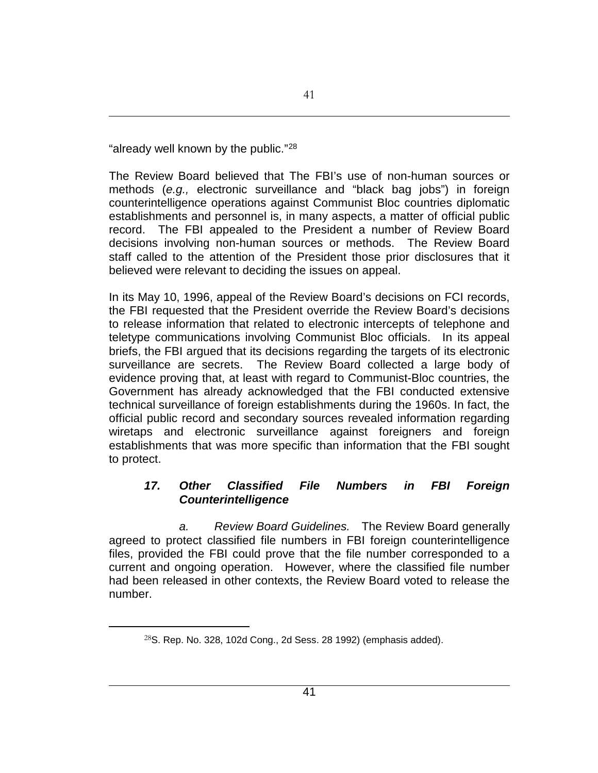"already well known by the public."[28](#page-40-0)

The Review Board believed that The FBI's use of non-human sources or methods (*e.g.,* electronic surveillance and "black bag jobs") in foreign counterintelligence operations against Communist Bloc countries diplomatic establishments and personnel is, in many aspects, a matter of official public record. The FBI appealed to the President a number of Review Board decisions involving non-human sources or methods. The Review Board staff called to the attention of the President those prior disclosures that it believed were relevant to deciding the issues on appeal.

In its May 10, 1996, appeal of the Review Board's decisions on FCI records, the FBI requested that the President override the Review Board's decisions to release information that related to electronic intercepts of telephone and teletype communications involving Communist Bloc officials. In its appeal briefs, the FBI argued that its decisions regarding the targets of its electronic surveillance are secrets. The Review Board collected a large body of evidence proving that, at least with regard to Communist-Bloc countries, the Government has already acknowledged that the FBI conducted extensive technical surveillance of foreign establishments during the 1960s. In fact, the official public record and secondary sources revealed information regarding wiretaps and electronic surveillance against foreigners and foreign establishments that was more specific than information that the FBI sought to protect.

## *17. Other Classified File Numbers in FBI Foreign Counterintelligence*

*a. Review Board Guidelines.* The Review Board generally agreed to protect classified file numbers in FBI foreign counterintelligence files, provided the FBI could prove that the file number corresponded to a current and ongoing operation. However, where the classified file number had been released in other contexts, the Review Board voted to release the number.

<span id="page-40-0"></span> $28$ S. Rep. No. 328, 102d Cong., 2d Sess. 28 1992) (emphasis added).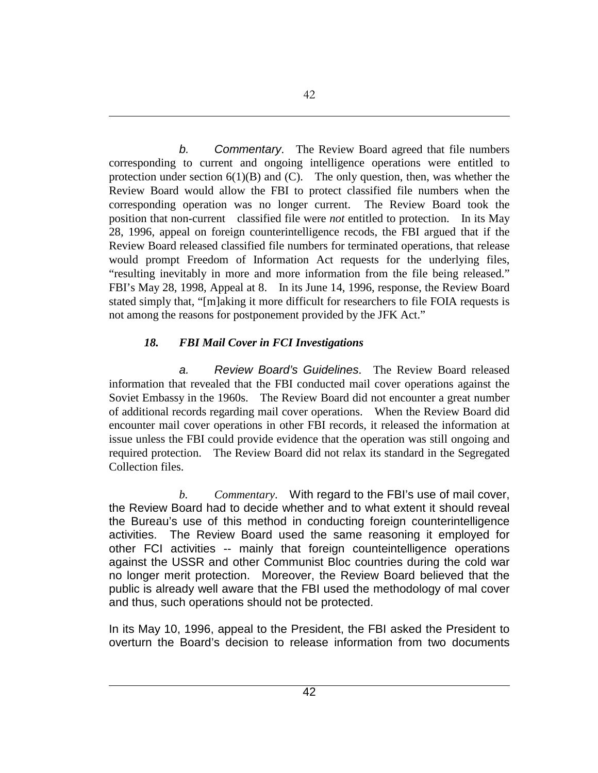*b. Commentary*. The Review Board agreed that file numbers corresponding to current and ongoing intelligence operations were entitled to protection under section  $6(1)(B)$  and  $(C)$ . The only question, then, was whether the Review Board would allow the FBI to protect classified file numbers when the corresponding operation was no longer current. The Review Board took the position that non-current classified file were *not* entitled to protection. In its May 28, 1996, appeal on foreign counterintelligence recods, the FBI argued that if the Review Board released classified file numbers for terminated operations, that release would prompt Freedom of Information Act requests for the underlying files, "resulting inevitably in more and more information from the file being released." FBI's May 28, 1998, Appeal at 8. In its June 14, 1996, response, the Review Board stated simply that, "[m]aking it more difficult for researchers to file FOIA requests is not among the reasons for postponement provided by the JFK Act."

### *18. FBI Mail Cover in FCI Investigations*

*a. Review Board's Guidelines*. The Review Board released information that revealed that the FBI conducted mail cover operations against the Soviet Embassy in the 1960s. The Review Board did not encounter a great number of additional records regarding mail cover operations. When the Review Board did encounter mail cover operations in other FBI records, it released the information at issue unless the FBI could provide evidence that the operation was still ongoing and required protection. The Review Board did not relax its standard in the Segregated Collection files.

*b. Commentary*. With regard to the FBI's use of mail cover, the Review Board had to decide whether and to what extent it should reveal the Bureau's use of this method in conducting foreign counterintelligence activities. The Review Board used the same reasoning it employed for other FCI activities -- mainly that foreign counteintelligence operations against the USSR and other Communist Bloc countries during the cold war no longer merit protection. Moreover, the Review Board believed that the public is already well aware that the FBI used the methodology of mal cover and thus, such operations should not be protected.

In its May 10, 1996, appeal to the President, the FBI asked the President to overturn the Board's decision to release information from two documents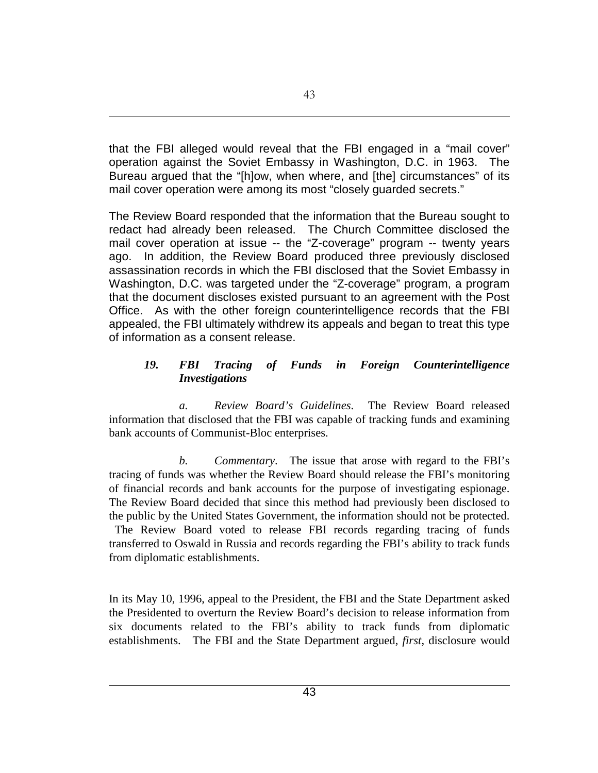that the FBI alleged would reveal that the FBI engaged in a "mail cover" operation against the Soviet Embassy in Washington, D.C. in 1963. The Bureau argued that the "[h]ow, when where, and [the] circumstances" of its mail cover operation were among its most "closely guarded secrets."

The Review Board responded that the information that the Bureau sought to redact had already been released. The Church Committee disclosed the mail cover operation at issue -- the "Z-coverage" program -- twenty years ago. In addition, the Review Board produced three previously disclosed assassination records in which the FBI disclosed that the Soviet Embassy in Washington, D.C. was targeted under the "Z-coverage" program, a program that the document discloses existed pursuant to an agreement with the Post Office. As with the other foreign counterintelligence records that the FBI appealed, the FBI ultimately withdrew its appeals and began to treat this type of information as a consent release.

### *19. FBI Tracing of Funds in Foreign Counterintelligence Investigations*

*a. Review Board's Guidelines*. The Review Board released information that disclosed that the FBI was capable of tracking funds and examining bank accounts of Communist-Bloc enterprises.

*b. Commentary*. The issue that arose with regard to the FBI's tracing of funds was whether the Review Board should release the FBI's monitoring of financial records and bank accounts for the purpose of investigating espionage. The Review Board decided that since this method had previously been disclosed to the public by the United States Government, the information should not be protected.

The Review Board voted to release FBI records regarding tracing of funds transferred to Oswald in Russia and records regarding the FBI's ability to track funds from diplomatic establishments.

In its May 10, 1996, appeal to the President, the FBI and the State Department asked the Presidented to overturn the Review Board's decision to release information from six documents related to the FBI's ability to track funds from diplomatic establishments. The FBI and the State Department argued, *first*, disclosure would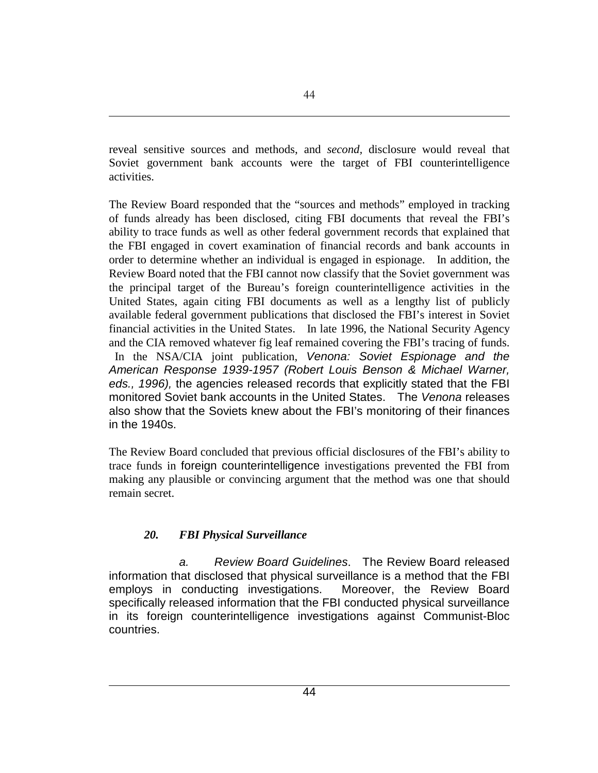reveal sensitive sources and methods, and *second,* disclosure would reveal that Soviet government bank accounts were the target of FBI counterintelligence activities.

The Review Board responded that the "sources and methods" employed in tracking of funds already has been disclosed, citing FBI documents that reveal the FBI's ability to trace funds as well as other federal government records that explained that the FBI engaged in covert examination of financial records and bank accounts in order to determine whether an individual is engaged in espionage. In addition, the Review Board noted that the FBI cannot now classify that the Soviet government was the principal target of the Bureau's foreign counterintelligence activities in the United States, again citing FBI documents as well as a lengthy list of publicly available federal government publications that disclosed the FBI's interest in Soviet financial activities in the United States. In late 1996, the National Security Agency and the CIA removed whatever fig leaf remained covering the FBI's tracing of funds. In the NSA/CIA joint publication, *Venona: Soviet Espionage and the American Response 1939-1957 (Robert Louis Benson & Michael Warner, eds., 1996),* the agencies released records that explicitly stated that the FBI monitored Soviet bank accounts in the United States. The *Venona* releases also show that the Soviets knew about the FBI's monitoring of their finances in the 1940s.

The Review Board concluded that previous official disclosures of the FBI's ability to trace funds in foreign counterintelligence investigations prevented the FBI from making any plausible or convincing argument that the method was one that should remain secret.

## *20. FBI Physical Surveillance*

*a. Review Board Guidelines*. The Review Board released information that disclosed that physical surveillance is a method that the FBI employs in conducting investigations. Moreover, the Review Board specifically released information that the FBI conducted physical surveillance in its foreign counterintelligence investigations against Communist-Bloc countries.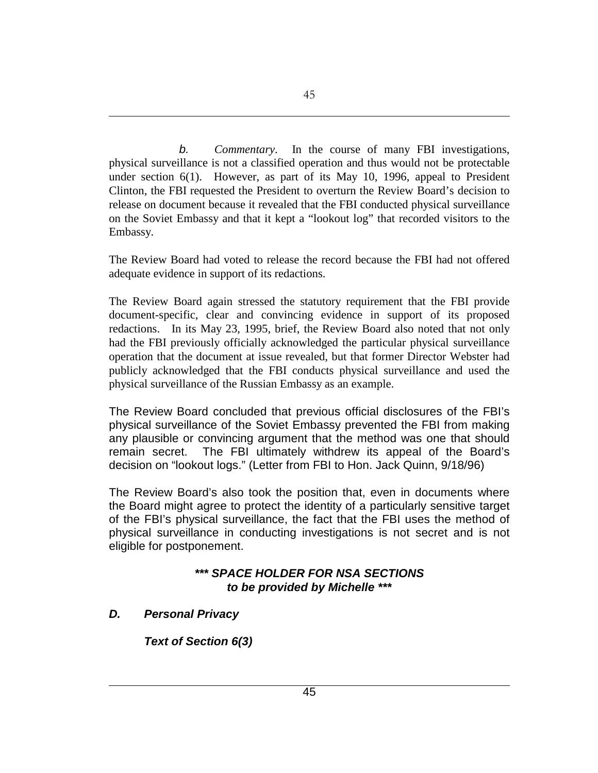*b. Commentary*. In the course of many FBI investigations, physical surveillance is not a classified operation and thus would not be protectable under section 6(1). However, as part of its May 10, 1996, appeal to President Clinton, the FBI requested the President to overturn the Review Board's decision to release on document because it revealed that the FBI conducted physical surveillance on the Soviet Embassy and that it kept a "lookout log" that recorded visitors to the Embassy.

The Review Board had voted to release the record because the FBI had not offered adequate evidence in support of its redactions.

The Review Board again stressed the statutory requirement that the FBI provide document-specific, clear and convincing evidence in support of its proposed redactions. In its May 23, 1995, brief, the Review Board also noted that not only had the FBI previously officially acknowledged the particular physical surveillance operation that the document at issue revealed, but that former Director Webster had publicly acknowledged that the FBI conducts physical surveillance and used the physical surveillance of the Russian Embassy as an example.

The Review Board concluded that previous official disclosures of the FBI's physical surveillance of the Soviet Embassy prevented the FBI from making any plausible or convincing argument that the method was one that should remain secret. The FBI ultimately withdrew its appeal of the Board's decision on "lookout logs." (Letter from FBI to Hon. Jack Quinn, 9/18/96)

The Review Board's also took the position that, even in documents where the Board might agree to protect the identity of a particularly sensitive target of the FBI's physical surveillance, the fact that the FBI uses the method of physical surveillance in conducting investigations is not secret and is not eligible for postponement.

### *\*\*\* SPACE HOLDER FOR NSA SECTIONS to be provided by Michelle \*\*\**

*D. Personal Privacy*

*Text of Section 6(3)*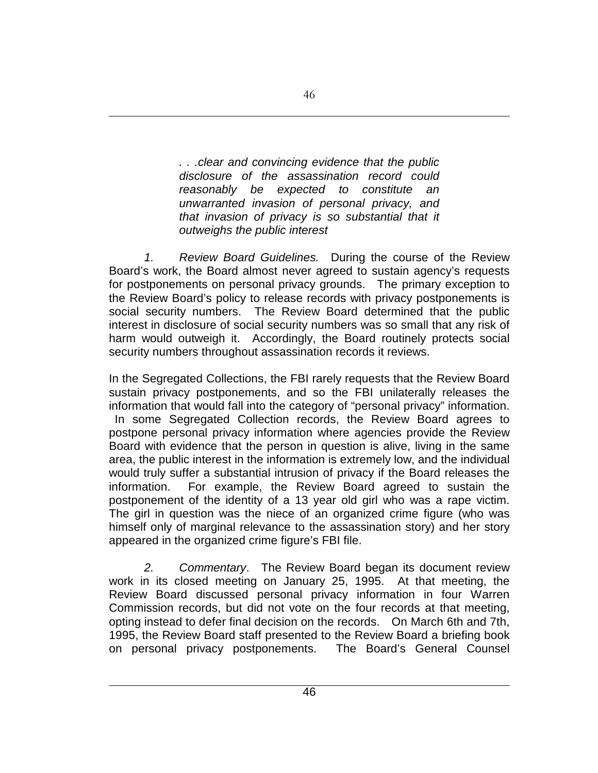*. . .clear and convincing evidence that the public disclosure of the assassination record could reasonably be expected to constitute an unwarranted invasion of personal privacy, and that invasion of privacy is so substantial that it outweighs the public interest*

*1. Review Board Guidelines.* During the course of the Review Board's work, the Board almost never agreed to sustain agency's requests for postponements on personal privacy grounds. The primary exception to the Review Board's policy to release records with privacy postponements is social security numbers. The Review Board determined that the public interest in disclosure of social security numbers was so small that any risk of harm would outweigh it. Accordingly, the Board routinely protects social security numbers throughout assassination records it reviews.

In the Segregated Collections, the FBI rarely requests that the Review Board sustain privacy postponements, and so the FBI unilaterally releases the information that would fall into the category of "personal privacy" information. In some Segregated Collection records, the Review Board agrees to postpone personal privacy information where agencies provide the Review Board with evidence that the person in question is alive, living in the same area, the public interest in the information is extremely low, and the individual would truly suffer a substantial intrusion of privacy if the Board releases the information. For example, the Review Board agreed to sustain the postponement of the identity of a 13 year old girl who was a rape victim. The girl in question was the niece of an organized crime figure (who was himself only of marginal relevance to the assassination story) and her story appeared in the organized crime figure's FBI file.

*2. Commentary*. The Review Board began its document review work in its closed meeting on January 25, 1995. At that meeting, the Review Board discussed personal privacy information in four Warren Commission records, but did not vote on the four records at that meeting, opting instead to defer final decision on the records. On March 6th and 7th, 1995, the Review Board staff presented to the Review Board a briefing book on personal privacy postponements. The Board's General Counsel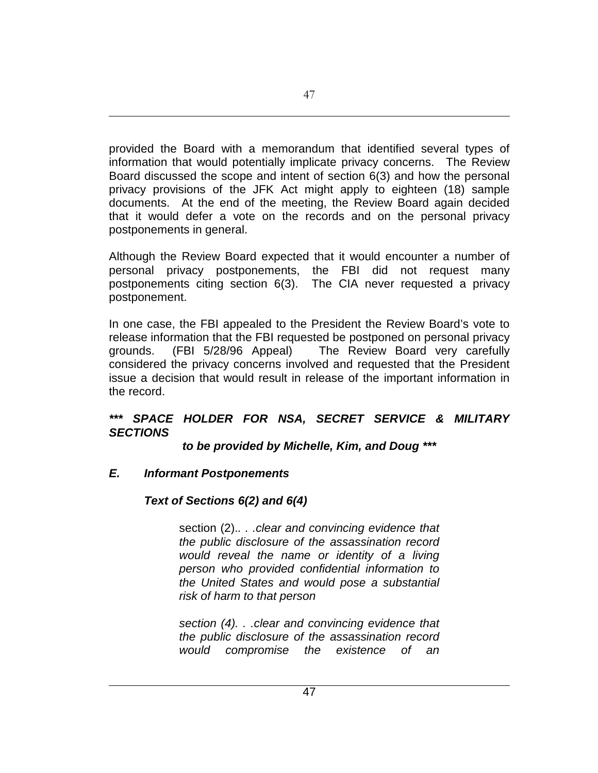provided the Board with a memorandum that identified several types of information that would potentially implicate privacy concerns. The Review Board discussed the scope and intent of section 6(3) and how the personal privacy provisions of the JFK Act might apply to eighteen (18) sample documents. At the end of the meeting, the Review Board again decided that it would defer a vote on the records and on the personal privacy postponements in general.

Although the Review Board expected that it would encounter a number of personal privacy postponements, the FBI did not request many postponements citing section 6(3). The CIA never requested a privacy postponement.

In one case, the FBI appealed to the President the Review Board's vote to release information that the FBI requested be postponed on personal privacy grounds. (FBI 5/28/96 Appeal) The Review Board very carefully considered the privacy concerns involved and requested that the President issue a decision that would result in release of the important information in the record.

### *\*\*\* SPACE HOLDER FOR NSA, SECRET SERVICE & MILITARY SECTIONS*

*to be provided by Michelle, Kim, and Doug \*\*\**

## *E. Informant Postponements*

# *Text of Sections 6(2) and 6(4)*

section (2).*. . .clear and convincing evidence that the public disclosure of the assassination record would reveal the name or identity of a living person who provided confidential information to the United States and would pose a substantial risk of harm to that person*

*section (4). . .clear and convincing evidence that the public disclosure of the assassination record would compromise the existence of an*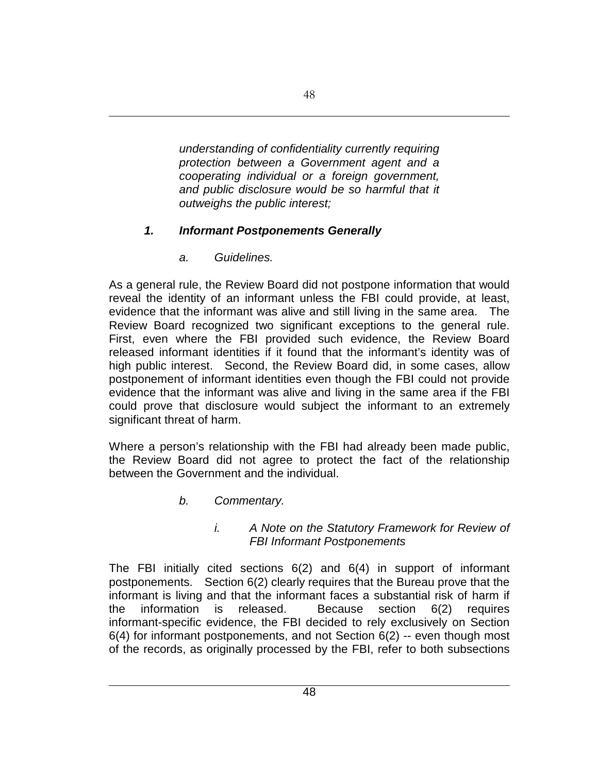*understanding of confidentiality currently requiring protection between a Government agent and a cooperating individual or a foreign government, and public disclosure would be so harmful that it outweighs the public interest;*

## *1. Informant Postponements Generally*

*a. Guidelines.*

As a general rule, the Review Board did not postpone information that would reveal the identity of an informant unless the FBI could provide, at least, evidence that the informant was alive and still living in the same area. The Review Board recognized two significant exceptions to the general rule. First, even where the FBI provided such evidence, the Review Board released informant identities if it found that the informant's identity was of high public interest. Second, the Review Board did, in some cases, allow postponement of informant identities even though the FBI could not provide evidence that the informant was alive and living in the same area if the FBI could prove that disclosure would subject the informant to an extremely significant threat of harm.

Where a person's relationship with the FBI had already been made public, the Review Board did not agree to protect the fact of the relationship between the Government and the individual.

*b. Commentary.*

### *i. A Note on the Statutory Framework for Review of FBI Informant Postponements*

The FBI initially cited sections 6(2) and 6(4) in support of informant postponements. Section 6(2) clearly requires that the Bureau prove that the informant is living and that the informant faces a substantial risk of harm if the information is released. Because section 6(2) requires informant-specific evidence, the FBI decided to rely exclusively on Section 6(4) for informant postponements, and not Section 6(2) -- even though most of the records, as originally processed by the FBI, refer to both subsections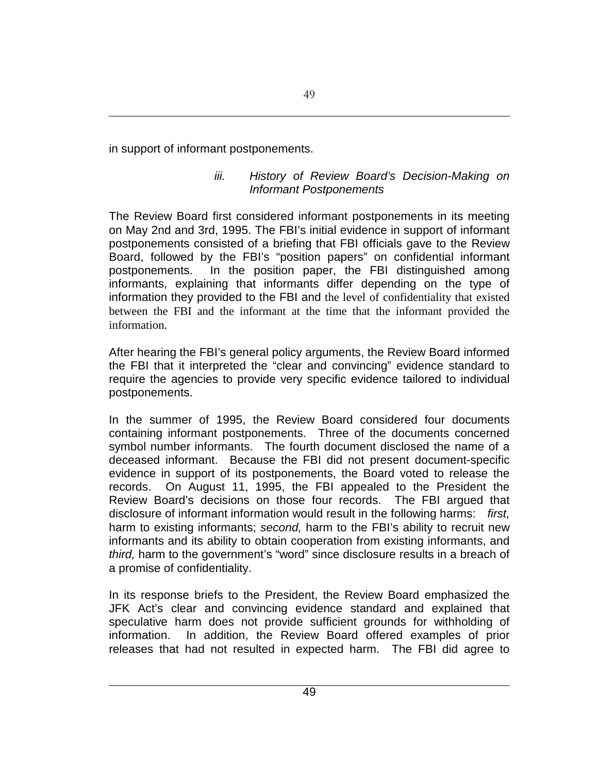in support of informant postponements.

### *iii. History of Review Board's Decision-Making on Informant Postponements*

The Review Board first considered informant postponements in its meeting on May 2nd and 3rd, 1995. The FBI's initial evidence in support of informant postponements consisted of a briefing that FBI officials gave to the Review Board, followed by the FBI's "position papers" on confidential informant postponements. In the position paper, the FBI distinguished among informants, explaining that informants differ depending on the type of information they provided to the FBI and the level of confidentiality that existed between the FBI and the informant at the time that the informant provided the information.

After hearing the FBI's general policy arguments, the Review Board informed the FBI that it interpreted the "clear and convincing" evidence standard to require the agencies to provide very specific evidence tailored to individual postponements.

In the summer of 1995, the Review Board considered four documents containing informant postponements. Three of the documents concerned symbol number informants. The fourth document disclosed the name of a deceased informant. Because the FBI did not present document-specific evidence in support of its postponements, the Board voted to release the records. On August 11, 1995, the FBI appealed to the President the Review Board's decisions on those four records. The FBI argued that disclosure of informant information would result in the following harms: *first,*  harm to existing informants; *second,* harm to the FBI's ability to recruit new informants and its ability to obtain cooperation from existing informants, and *third,* harm to the government's "word" since disclosure results in a breach of a promise of confidentiality.

In its response briefs to the President, the Review Board emphasized the JFK Act's clear and convincing evidence standard and explained that speculative harm does not provide sufficient grounds for withholding of information. In addition, the Review Board offered examples of prior releases that had not resulted in expected harm. The FBI did agree to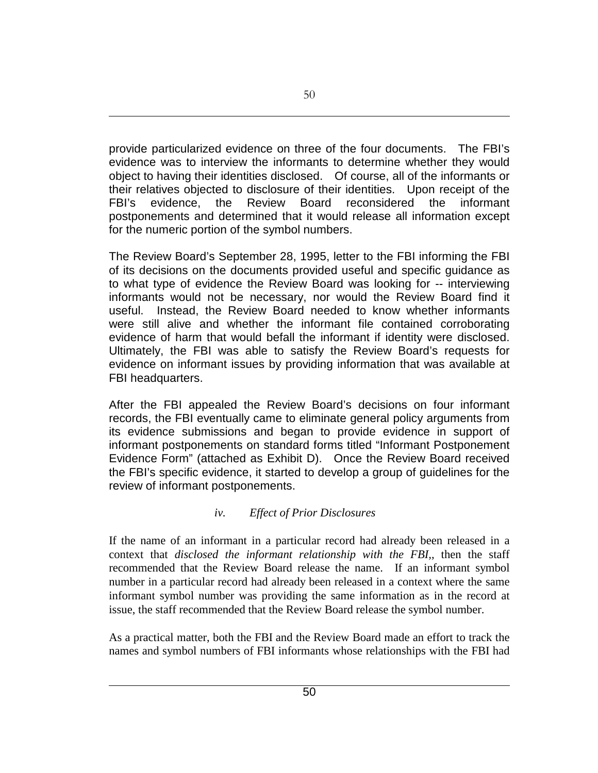provide particularized evidence on three of the four documents. The FBI's evidence was to interview the informants to determine whether they would object to having their identities disclosed. Of course, all of the informants or their relatives objected to disclosure of their identities. Upon receipt of the FBI's evidence, the Review Board reconsidered the informant postponements and determined that it would release all information except for the numeric portion of the symbol numbers.

The Review Board's September 28, 1995, letter to the FBI informing the FBI of its decisions on the documents provided useful and specific guidance as to what type of evidence the Review Board was looking for -- interviewing informants would not be necessary, nor would the Review Board find it useful. Instead, the Review Board needed to know whether informants were still alive and whether the informant file contained corroborating evidence of harm that would befall the informant if identity were disclosed. Ultimately, the FBI was able to satisfy the Review Board's requests for evidence on informant issues by providing information that was available at FBI headquarters.

After the FBI appealed the Review Board's decisions on four informant records, the FBI eventually came to eliminate general policy arguments from its evidence submissions and began to provide evidence in support of informant postponements on standard forms titled "Informant Postponement Evidence Form" (attached as Exhibit D). Once the Review Board received the FBI's specific evidence, it started to develop a group of guidelines for the review of informant postponements.

## *iv. Effect of Prior Disclosures*

If the name of an informant in a particular record had already been released in a context that *disclosed the informant relationship with the FBI,*, then the staff recommended that the Review Board release the name. If an informant symbol number in a particular record had already been released in a context where the same informant symbol number was providing the same information as in the record at issue, the staff recommended that the Review Board release the symbol number.

As a practical matter, both the FBI and the Review Board made an effort to track the names and symbol numbers of FBI informants whose relationships with the FBI had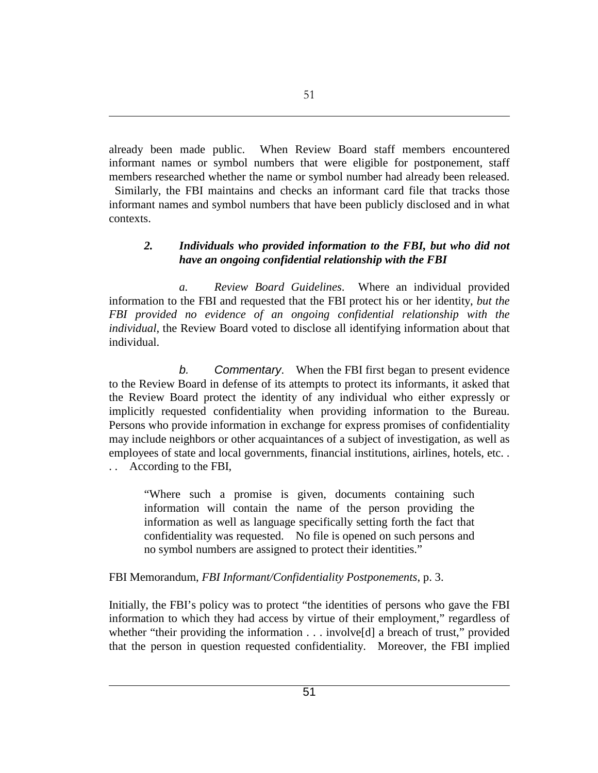already been made public. When Review Board staff members encountered informant names or symbol numbers that were eligible for postponement, staff members researched whether the name or symbol number had already been released.

Similarly, the FBI maintains and checks an informant card file that tracks those informant names and symbol numbers that have been publicly disclosed and in what contexts.

### *2. Individuals who provided information to the FBI, but who did not have an ongoing confidential relationship with the FBI*

*a. Review Board Guidelines*. Where an individual provided information to the FBI and requested that the FBI protect his or her identity, *but the FBI provided no evidence of an ongoing confidential relationship with the individual*, the Review Board voted to disclose all identifying information about that individual.

*b. Commentary*. When the FBI first began to present evidence to the Review Board in defense of its attempts to protect its informants, it asked that the Review Board protect the identity of any individual who either expressly or implicitly requested confidentiality when providing information to the Bureau. Persons who provide information in exchange for express promises of confidentiality may include neighbors or other acquaintances of a subject of investigation, as well as employees of state and local governments, financial institutions, airlines, hotels, etc. . . . According to the FBI,

"Where such a promise is given, documents containing such information will contain the name of the person providing the information as well as language specifically setting forth the fact that confidentiality was requested. No file is opened on such persons and no symbol numbers are assigned to protect their identities."

FBI Memorandum, *FBI Informant/Confidentiality Postponements*, p. 3.

Initially, the FBI's policy was to protect "the identities of persons who gave the FBI information to which they had access by virtue of their employment," regardless of whether "their providing the information . . . involve<sup>[d]</sup> a breach of trust," provided that the person in question requested confidentiality. Moreover, the FBI implied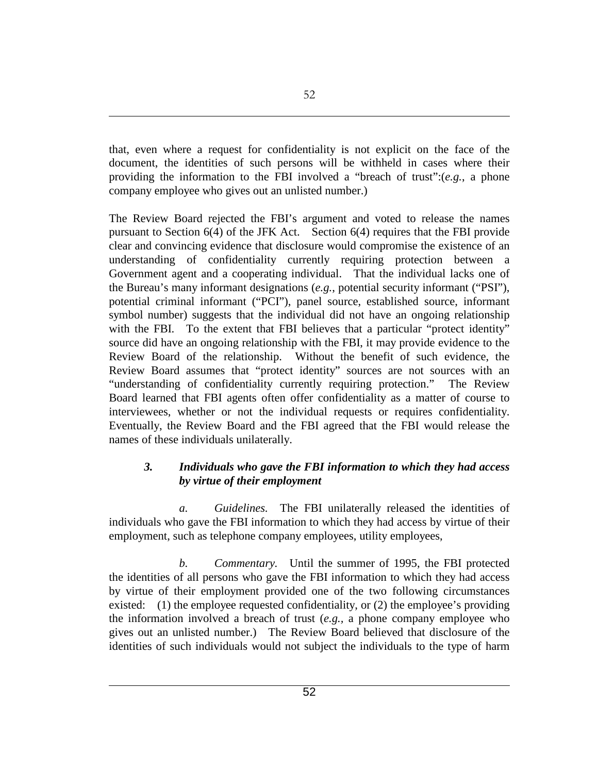that, even where a request for confidentiality is not explicit on the face of the document, the identities of such persons will be withheld in cases where their providing the information to the FBI involved a "breach of trust":(*e.g.*, a phone company employee who gives out an unlisted number.)

The Review Board rejected the FBI's argument and voted to release the names pursuant to Section 6(4) of the JFK Act. Section 6(4) requires that the FBI provide clear and convincing evidence that disclosure would compromise the existence of an understanding of confidentiality currently requiring protection between a Government agent and a cooperating individual. That the individual lacks one of the Bureau's many informant designations (*e.g.*, potential security informant ("PSI"), potential criminal informant ("PCI"), panel source, established source, informant symbol number) suggests that the individual did not have an ongoing relationship with the FBI. To the extent that FBI believes that a particular "protect identity" source did have an ongoing relationship with the FBI, it may provide evidence to the Review Board of the relationship. Without the benefit of such evidence, the Review Board assumes that "protect identity" sources are not sources with an "understanding of confidentiality currently requiring protection." The Review Board learned that FBI agents often offer confidentiality as a matter of course to interviewees, whether or not the individual requests or requires confidentiality. Eventually, the Review Board and the FBI agreed that the FBI would release the names of these individuals unilaterally.

### *3. Individuals who gave the FBI information to which they had access by virtue of their employment*

*a. Guidelines.* The FBI unilaterally released the identities of individuals who gave the FBI information to which they had access by virtue of their employment, such as telephone company employees, utility employees,

*b. Commentary.* Until the summer of 1995, the FBI protected the identities of all persons who gave the FBI information to which they had access by virtue of their employment provided one of the two following circumstances existed: (1) the employee requested confidentiality, or (2) the employee's providing the information involved a breach of trust (*e.g.,* a phone company employee who gives out an unlisted number.) The Review Board believed that disclosure of the identities of such individuals would not subject the individuals to the type of harm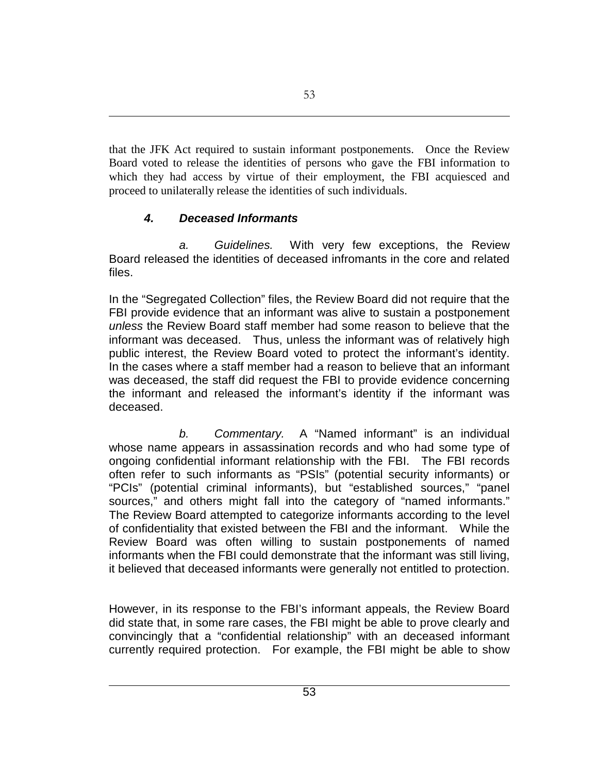that the JFK Act required to sustain informant postponements. Once the Review Board voted to release the identities of persons who gave the FBI information to which they had access by virtue of their employment, the FBI acquiesced and proceed to unilaterally release the identities of such individuals.

# *4. Deceased Informants*

*a. Guidelines.* With very few exceptions, the Review Board released the identities of deceased infromants in the core and related files.

In the "Segregated Collection" files, the Review Board did not require that the FBI provide evidence that an informant was alive to sustain a postponement *unless* the Review Board staff member had some reason to believe that the informant was deceased. Thus, unless the informant was of relatively high public interest, the Review Board voted to protect the informant's identity. In the cases where a staff member had a reason to believe that an informant was deceased, the staff did request the FBI to provide evidence concerning the informant and released the informant's identity if the informant was deceased.

*b. Commentary.* A "Named informant" is an individual whose name appears in assassination records and who had some type of ongoing confidential informant relationship with the FBI. The FBI records often refer to such informants as "PSIs" (potential security informants) or "PCIs" (potential criminal informants), but "established sources," "panel sources," and others might fall into the category of "named informants." The Review Board attempted to categorize informants according to the level of confidentiality that existed between the FBI and the informant. While the Review Board was often willing to sustain postponements of named informants when the FBI could demonstrate that the informant was still living, it believed that deceased informants were generally not entitled to protection.

However, in its response to the FBI's informant appeals, the Review Board did state that, in some rare cases, the FBI might be able to prove clearly and convincingly that a "confidential relationship" with an deceased informant currently required protection. For example, the FBI might be able to show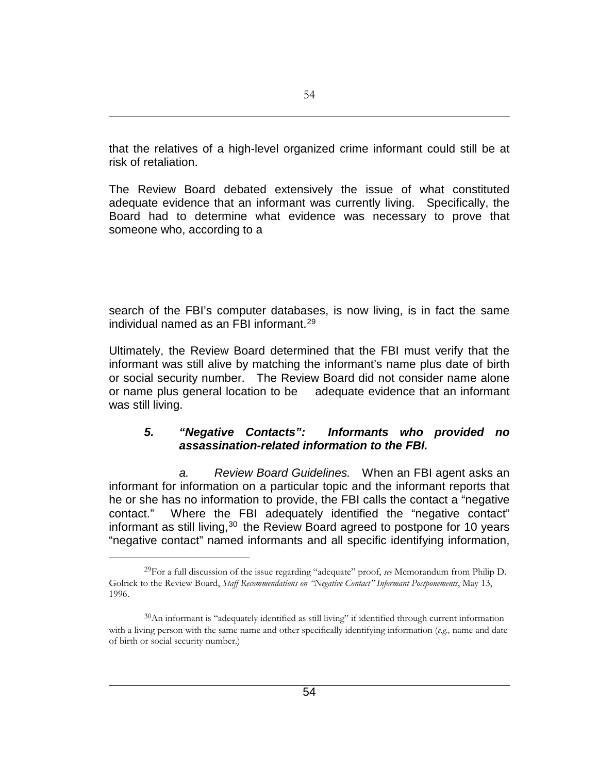that the relatives of a high-level organized crime informant could still be at risk of retaliation.

The Review Board debated extensively the issue of what constituted adequate evidence that an informant was currently living. Specifically, the Board had to determine what evidence was necessary to prove that someone who, according to a

search of the FBI's computer databases, is now living, is in fact the same individual named as an FBI informant.[29](#page-53-0)

Ultimately, the Review Board determined that the FBI must verify that the informant was still alive by matching the informant's name plus date of birth or social security number. The Review Board did not consider name alone or name plus general location to be adequate evidence that an informant was still living.

### *5. "Negative Contacts": Informants who provided no assassination-related information to the FBI.*

*a. Review Board Guidelines.* When an FBI agent asks an informant for information on a particular topic and the informant reports that he or she has no information to provide, the FBI calls the contact a "negative contact." Where the FBI adequately identified the "negative contact" informant as still living,  $30$  the Review Board agreed to postpone for 10 years "negative contact" named informants and all specific identifying information,

<span id="page-53-0"></span><sup>29</sup>For a full discussion of the issue regarding "adequate" proof, *see* Memorandum from Philip D. Golrick to the Review Board, *Staff Recommendations on "Negative Contact" Informant Postponements*, May 13, 1996.

<span id="page-53-1"></span> $30$ An informant is "adequately identified as still living" if identified through current information with a living person with the same name and other specifically identifying information (*e.g.,* name and date of birth or social security number.)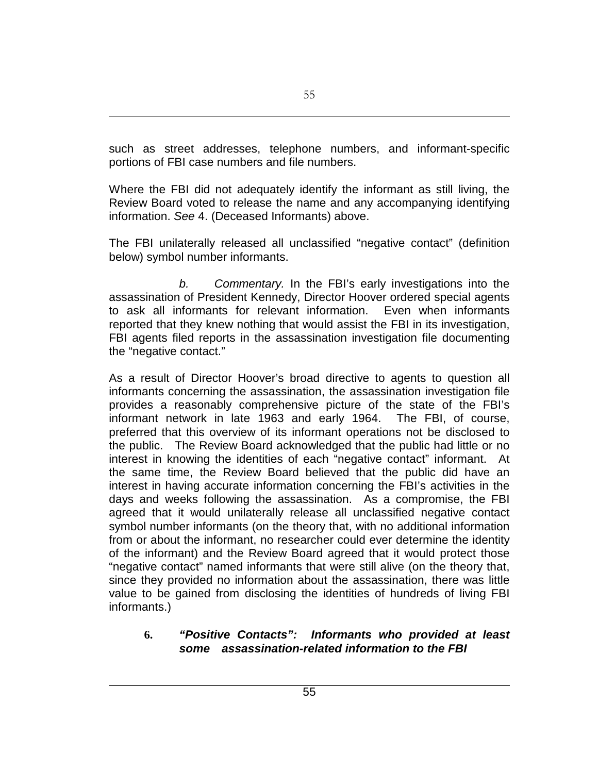such as street addresses, telephone numbers, and informant-specific portions of FBI case numbers and file numbers.

Where the FBI did not adequately identify the informant as still living, the Review Board voted to release the name and any accompanying identifying information. *See* 4. (Deceased Informants) above.

The FBI unilaterally released all unclassified "negative contact" (definition below) symbol number informants.

*b. Commentary.* In the FBI's early investigations into the assassination of President Kennedy, Director Hoover ordered special agents to ask all informants for relevant information. Even when informants reported that they knew nothing that would assist the FBI in its investigation, FBI agents filed reports in the assassination investigation file documenting the "negative contact."

As a result of Director Hoover's broad directive to agents to question all informants concerning the assassination, the assassination investigation file provides a reasonably comprehensive picture of the state of the FBI's informant network in late 1963 and early 1964. The FBI, of course, preferred that this overview of its informant operations not be disclosed to the public. The Review Board acknowledged that the public had little or no interest in knowing the identities of each "negative contact" informant. At the same time, the Review Board believed that the public did have an interest in having accurate information concerning the FBI's activities in the days and weeks following the assassination. As a compromise, the FBI agreed that it would unilaterally release all unclassified negative contact symbol number informants (on the theory that, with no additional information from or about the informant, no researcher could ever determine the identity of the informant) and the Review Board agreed that it would protect those "negative contact" named informants that were still alive (on the theory that, since they provided no information about the assassination, there was little value to be gained from disclosing the identities of hundreds of living FBI informants.)

## **6.** *"Positive Contacts": Informants who provided at least some assassination-related information to the FBI*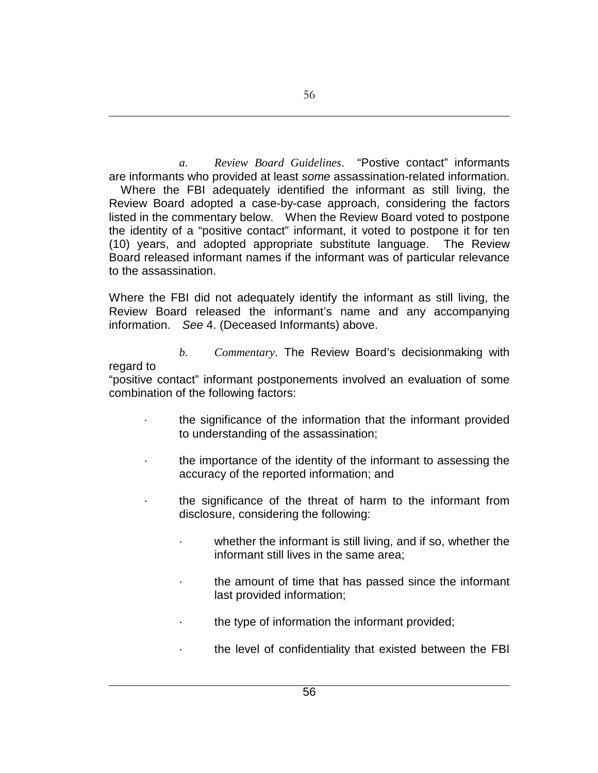*a. Review Board Guidelines*. "Postive contact" informants are informants who provided at least *some* assassination-related information. Where the FBI adequately identified the informant as still living, the Review Board adopted a case-by-case approach, considering the factors listed in the commentary below. When the Review Board voted to postpone the identity of a "positive contact" informant, it voted to postpone it for ten (10) years, and adopted appropriate substitute language. The Review Board released informant names if the informant was of particular relevance to the assassination.

Where the FBI did not adequately identify the informant as still living, the Review Board released the informant's name and any accompanying information. *See* 4. (Deceased Informants) above.

*b. Commentary*. The Review Board's decisionmaking with

regard to

- "positive contact" informant postponements involved an evaluation of some combination of the following factors:
	- · the significance of the information that the informant provided to understanding of the assassination;
	- · the importance of the identity of the informant to assessing the accuracy of the reported information; and
	- the significance of the threat of harm to the informant from disclosure, considering the following:
		- whether the informant is still living, and if so, whether the informant still lives in the same area;
		- the amount of time that has passed since the informant last provided information;
		- the type of information the informant provided;
		- the level of confidentiality that existed between the FBI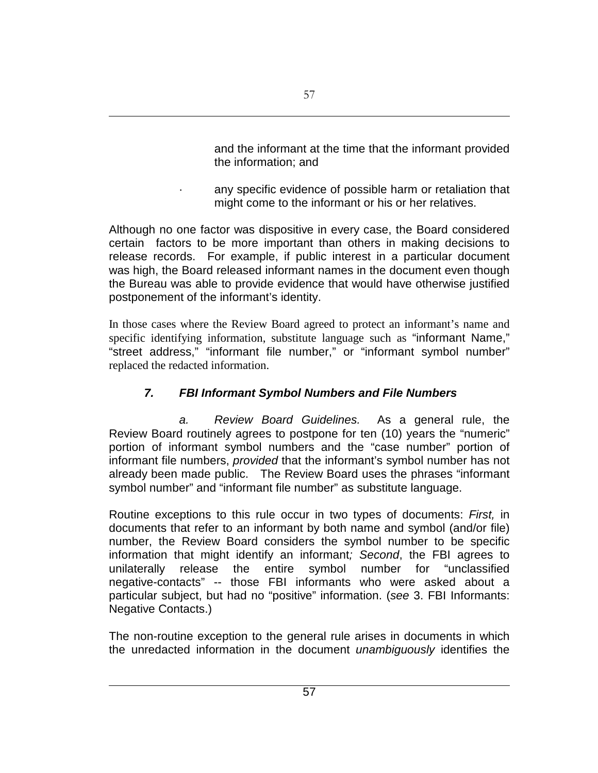and the informant at the time that the informant provided the information; and

any specific evidence of possible harm or retaliation that might come to the informant or his or her relatives.

Although no one factor was dispositive in every case, the Board considered certain factors to be more important than others in making decisions to release records. For example, if public interest in a particular document was high, the Board released informant names in the document even though the Bureau was able to provide evidence that would have otherwise justified postponement of the informant's identity.

In those cases where the Review Board agreed to protect an informant's name and specific identifying information, substitute language such as "informant Name," "street address," "informant file number," or "informant symbol number" replaced the redacted information.

# *7. FBI Informant Symbol Numbers and File Numbers*

*a. Review Board Guidelines.* As a general rule, the Review Board routinely agrees to postpone for ten (10) years the "numeric" portion of informant symbol numbers and the "case number" portion of informant file numbers, *provided* that the informant's symbol number has not already been made public. The Review Board uses the phrases "informant symbol number" and "informant file number" as substitute language.

Routine exceptions to this rule occur in two types of documents: *First,* in documents that refer to an informant by both name and symbol (and/or file) number, the Review Board considers the symbol number to be specific information that might identify an informant*; Second*, the FBI agrees to unilaterally release the entire symbol number for "unclassified negative-contacts" -- those FBI informants who were asked about a particular subject, but had no "positive" information. (*see* 3. FBI Informants: Negative Contacts.)

The non-routine exception to the general rule arises in documents in which the unredacted information in the document *unambiguously* identifies the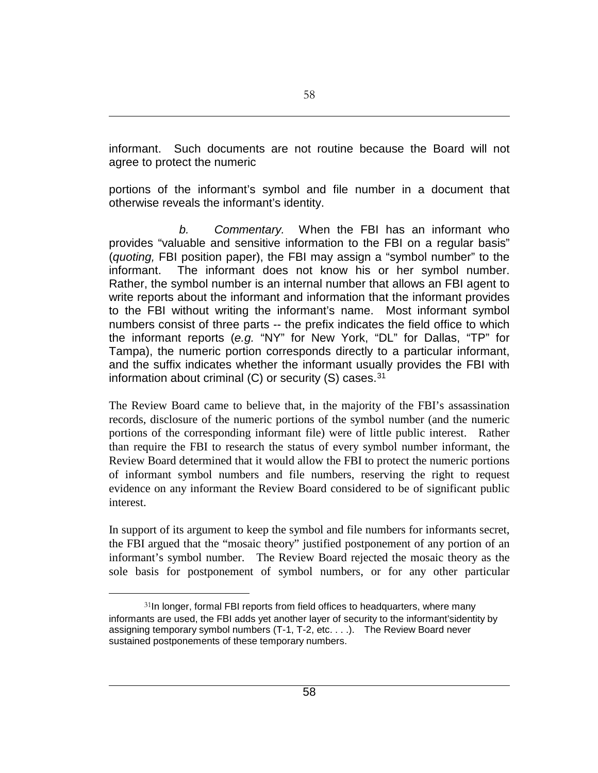informant. Such documents are not routine because the Board will not agree to protect the numeric

portions of the informant's symbol and file number in a document that otherwise reveals the informant's identity.

*b. Commentary.* When the FBI has an informant who provides "valuable and sensitive information to the FBI on a regular basis" (*quoting,* FBI position paper), the FBI may assign a "symbol number" to the informant. The informant does not know his or her symbol number. Rather, the symbol number is an internal number that allows an FBI agent to write reports about the informant and information that the informant provides to the FBI without writing the informant's name. Most informant symbol numbers consist of three parts -- the prefix indicates the field office to which the informant reports (*e.g.* "NY" for New York, "DL" for Dallas, "TP" for Tampa), the numeric portion corresponds directly to a particular informant, and the suffix indicates whether the informant usually provides the FBI with information about criminal  $(C)$  or security  $(S)$  cases.<sup>[31](#page-57-0)</sup>

The Review Board came to believe that, in the majority of the FBI's assassination records, disclosure of the numeric portions of the symbol number (and the numeric portions of the corresponding informant file) were of little public interest. Rather than require the FBI to research the status of every symbol number informant, the Review Board determined that it would allow the FBI to protect the numeric portions of informant symbol numbers and file numbers, reserving the right to request evidence on any informant the Review Board considered to be of significant public interest.

In support of its argument to keep the symbol and file numbers for informants secret, the FBI argued that the "mosaic theory" justified postponement of any portion of an informant's symbol number. The Review Board rejected the mosaic theory as the sole basis for postponement of symbol numbers, or for any other particular

<span id="page-57-0"></span> $31$ In longer, formal FBI reports from field offices to headquarters, where many informants are used, the FBI adds yet another layer of security to the informant'sidentity by assigning temporary symbol numbers (T-1, T-2, etc. . . .). The Review Board never sustained postponements of these temporary numbers.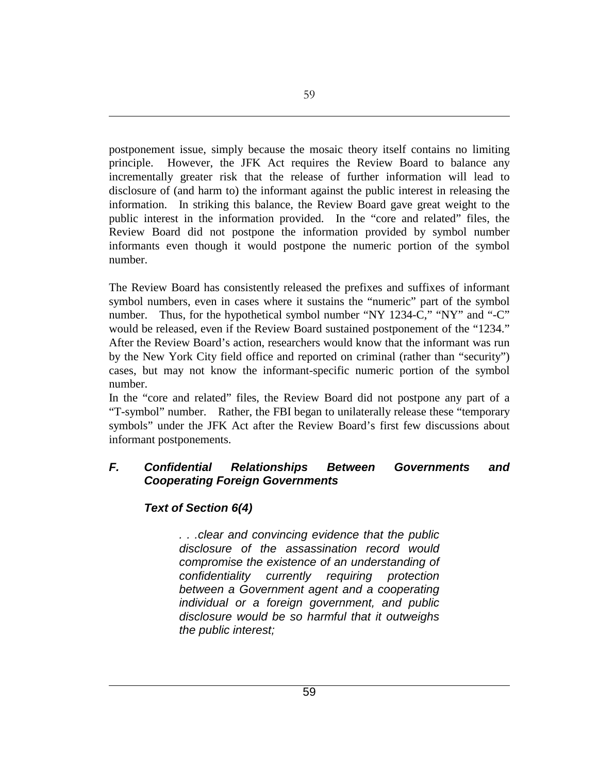postponement issue, simply because the mosaic theory itself contains no limiting principle. However, the JFK Act requires the Review Board to balance any incrementally greater risk that the release of further information will lead to disclosure of (and harm to) the informant against the public interest in releasing the information. In striking this balance, the Review Board gave great weight to the public interest in the information provided. In the "core and related" files, the Review Board did not postpone the information provided by symbol number informants even though it would postpone the numeric portion of the symbol number.

The Review Board has consistently released the prefixes and suffixes of informant symbol numbers, even in cases where it sustains the "numeric" part of the symbol number. Thus, for the hypothetical symbol number "NY 1234-C," "NY" and "-C" would be released, even if the Review Board sustained postponement of the "1234." After the Review Board's action, researchers would know that the informant was run by the New York City field office and reported on criminal (rather than "security") cases, but may not know the informant-specific numeric portion of the symbol number.

In the "core and related" files, the Review Board did not postpone any part of a "T-symbol" number. Rather, the FBI began to unilaterally release these "temporary symbols" under the JFK Act after the Review Board's first few discussions about informant postponements.

### *F. Confidential Relationships Between Governments and Cooperating Foreign Governments*

## *Text of Section 6(4)*

*. . .clear and convincing evidence that the public disclosure of the assassination record would compromise the existence of an understanding of confidentiality currently requiring protection between a Government agent and a cooperating individual or a foreign government, and public disclosure would be so harmful that it outweighs the public interest;*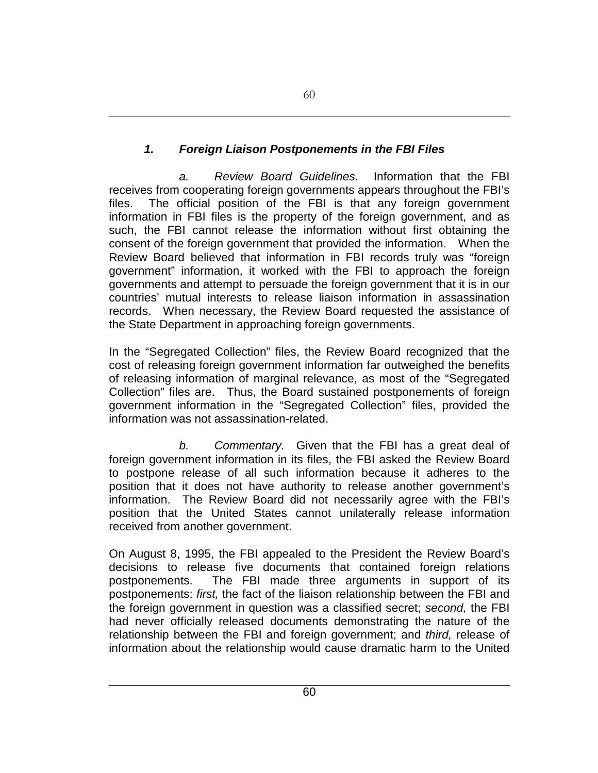# *1. Foreign Liaison Postponements in the FBI Files*

*a. Review Board Guidelines.* Information that the FBI receives from cooperating foreign governments appears throughout the FBI's files. The official position of the FBI is that any foreign government information in FBI files is the property of the foreign government, and as such, the FBI cannot release the information without first obtaining the consent of the foreign government that provided the information. When the Review Board believed that information in FBI records truly was "foreign government" information, it worked with the FBI to approach the foreign governments and attempt to persuade the foreign government that it is in our countries' mutual interests to release liaison information in assassination records. When necessary, the Review Board requested the assistance of the State Department in approaching foreign governments.

In the "Segregated Collection" files, the Review Board recognized that the cost of releasing foreign government information far outweighed the benefits of releasing information of marginal relevance, as most of the "Segregated Collection" files are. Thus, the Board sustained postponements of foreign government information in the "Segregated Collection" files, provided the information was not assassination-related.

*b. Commentary.* Given that the FBI has a great deal of foreign government information in its files, the FBI asked the Review Board to postpone release of all such information because it adheres to the position that it does not have authority to release another government's information. The Review Board did not necessarily agree with the FBI's position that the United States cannot unilaterally release information received from another government.

On August 8, 1995, the FBI appealed to the President the Review Board's decisions to release five documents that contained foreign relations postponements. The FBI made three arguments in support of its postponements: *first,* the fact of the liaison relationship between the FBI and the foreign government in question was a classified secret; *second,* the FBI had never officially released documents demonstrating the nature of the relationship between the FBI and foreign government; and *third,* release of information about the relationship would cause dramatic harm to the United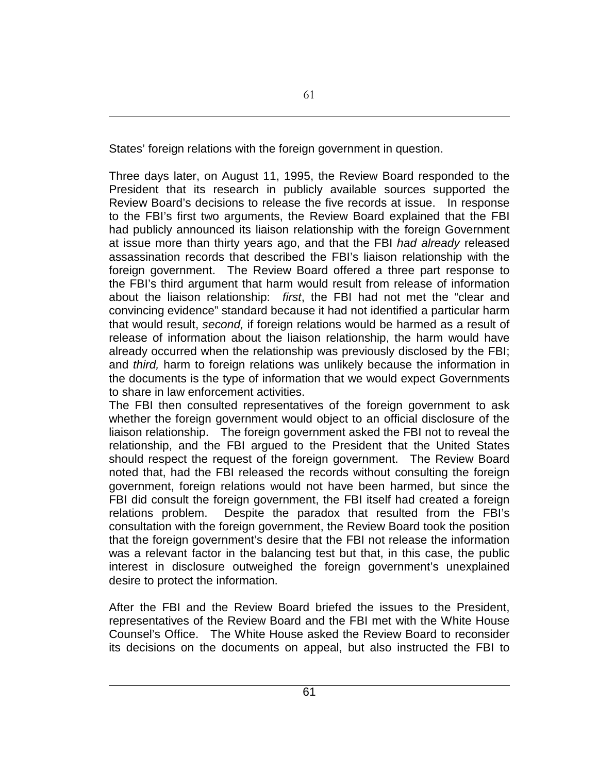States' foreign relations with the foreign government in question.

Three days later, on August 11, 1995, the Review Board responded to the President that its research in publicly available sources supported the Review Board's decisions to release the five records at issue. In response to the FBI's first two arguments, the Review Board explained that the FBI had publicly announced its liaison relationship with the foreign Government at issue more than thirty years ago, and that the FBI *had already* released assassination records that described the FBI's liaison relationship with the foreign government. The Review Board offered a three part response to the FBI's third argument that harm would result from release of information about the liaison relationship: *first*, the FBI had not met the "clear and convincing evidence" standard because it had not identified a particular harm that would result, *second,* if foreign relations would be harmed as a result of release of information about the liaison relationship, the harm would have already occurred when the relationship was previously disclosed by the FBI; and *third,* harm to foreign relations was unlikely because the information in the documents is the type of information that we would expect Governments to share in law enforcement activities.

The FBI then consulted representatives of the foreign government to ask whether the foreign government would object to an official disclosure of the liaison relationship. The foreign government asked the FBI not to reveal the relationship, and the FBI argued to the President that the United States should respect the request of the foreign government. The Review Board noted that, had the FBI released the records without consulting the foreign government, foreign relations would not have been harmed, but since the FBI did consult the foreign government, the FBI itself had created a foreign relations problem. Despite the paradox that resulted from the FBI's consultation with the foreign government, the Review Board took the position that the foreign government's desire that the FBI not release the information was a relevant factor in the balancing test but that, in this case, the public interest in disclosure outweighed the foreign government's unexplained desire to protect the information.

After the FBI and the Review Board briefed the issues to the President, representatives of the Review Board and the FBI met with the White House Counsel's Office. The White House asked the Review Board to reconsider its decisions on the documents on appeal, but also instructed the FBI to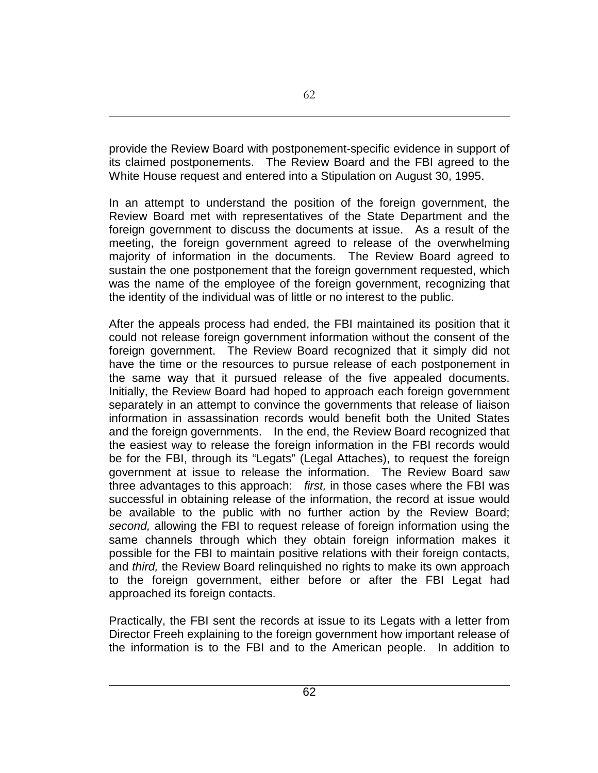provide the Review Board with postponement-specific evidence in support of its claimed postponements. The Review Board and the FBI agreed to the White House request and entered into a Stipulation on August 30, 1995.

In an attempt to understand the position of the foreign government, the Review Board met with representatives of the State Department and the foreign government to discuss the documents at issue. As a result of the meeting, the foreign government agreed to release of the overwhelming majority of information in the documents. The Review Board agreed to sustain the one postponement that the foreign government requested, which was the name of the employee of the foreign government, recognizing that the identity of the individual was of little or no interest to the public.

After the appeals process had ended, the FBI maintained its position that it could not release foreign government information without the consent of the foreign government. The Review Board recognized that it simply did not have the time or the resources to pursue release of each postponement in the same way that it pursued release of the five appealed documents. Initially, the Review Board had hoped to approach each foreign government separately in an attempt to convince the governments that release of liaison information in assassination records would benefit both the United States and the foreign governments. In the end, the Review Board recognized that the easiest way to release the foreign information in the FBI records would be for the FBI, through its "Legats" (Legal Attaches), to request the foreign government at issue to release the information. The Review Board saw three advantages to this approach: *first,* in those cases where the FBI was successful in obtaining release of the information, the record at issue would be available to the public with no further action by the Review Board; *second,* allowing the FBI to request release of foreign information using the same channels through which they obtain foreign information makes it possible for the FBI to maintain positive relations with their foreign contacts, and *third,* the Review Board relinquished no rights to make its own approach to the foreign government, either before or after the FBI Legat had approached its foreign contacts.

Practically, the FBI sent the records at issue to its Legats with a letter from Director Freeh explaining to the foreign government how important release of the information is to the FBI and to the American people. In addition to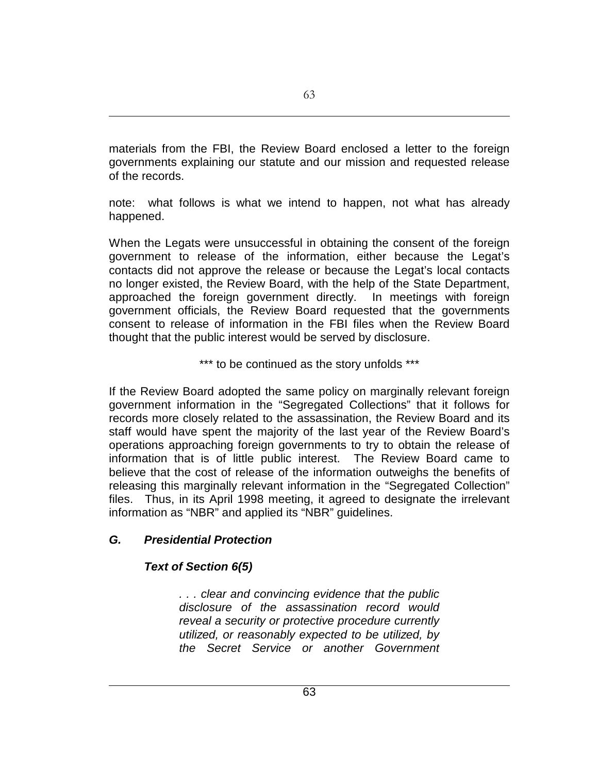materials from the FBI, the Review Board enclosed a letter to the foreign governments explaining our statute and our mission and requested release of the records.

note: what follows is what we intend to happen, not what has already happened.

When the Legats were unsuccessful in obtaining the consent of the foreign government to release of the information, either because the Legat's contacts did not approve the release or because the Legat's local contacts no longer existed, the Review Board, with the help of the State Department, approached the foreign government directly. In meetings with foreign government officials, the Review Board requested that the governments consent to release of information in the FBI files when the Review Board thought that the public interest would be served by disclosure.

\*\*\* to be continued as the story unfolds \*\*\*

If the Review Board adopted the same policy on marginally relevant foreign government information in the "Segregated Collections" that it follows for records more closely related to the assassination, the Review Board and its staff would have spent the majority of the last year of the Review Board's operations approaching foreign governments to try to obtain the release of information that is of little public interest. The Review Board came to believe that the cost of release of the information outweighs the benefits of releasing this marginally relevant information in the "Segregated Collection" files. Thus, in its April 1998 meeting, it agreed to designate the irrelevant information as "NBR" and applied its "NBR" guidelines.

## *G. Presidential Protection*

# *Text of Section 6(5)*

*. . . clear and convincing evidence that the public disclosure of the assassination record would reveal a security or protective procedure currently utilized, or reasonably expected to be utilized, by the Secret Service or another Government*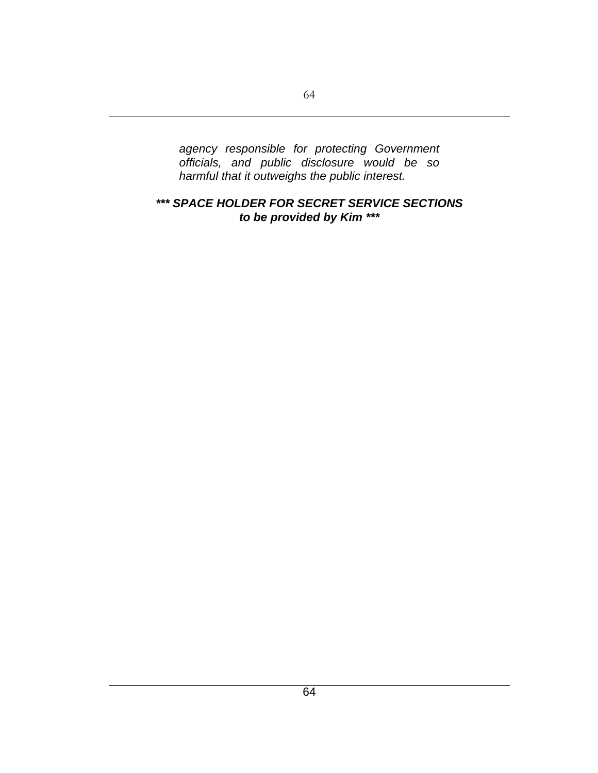*agency responsible for protecting Government officials, and public disclosure would be so harmful that it outweighs the public interest.*

### *\*\*\* SPACE HOLDER FOR SECRET SERVICE SECTIONS to be provided by Kim \*\*\**